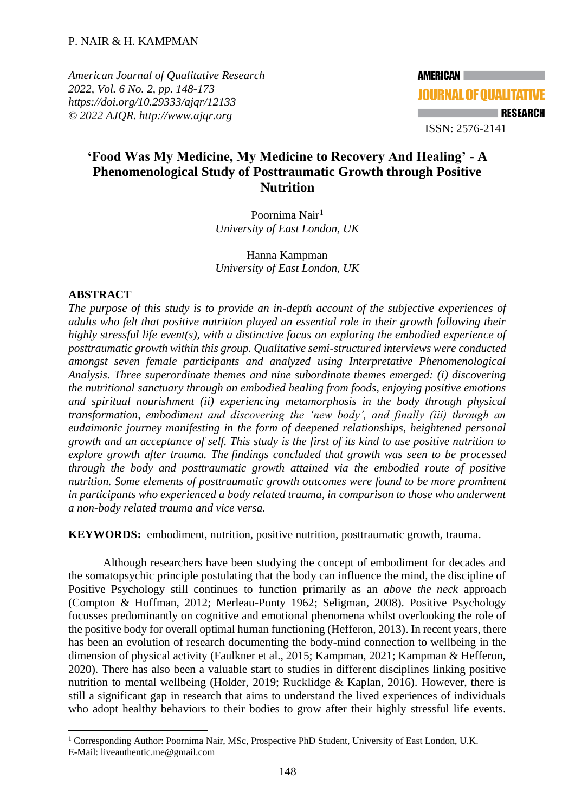*American Journal of Qualitative Research 2022, Vol. 6 No. 2, pp. 148-173 <https://doi.org/10.29333/ajqr/12133> © 2022 AJQR. http://www.ajqr.org*



# **'Food Was My Medicine, My Medicine to Recovery And Healing' - A Phenomenological Study of Posttraumatic Growth through Positive Nutrition**

Poornima Nair<sup>1</sup> *University of East London, UK* 

Hanna Kampman *University of East London, UK*

#### **ABSTRACT**

*The purpose of this study is to provide an in-depth account of the subjective experiences of adults who felt that positive nutrition played an essential role in their growth following their highly stressful life event(s), with a distinctive focus on exploring the embodied experience of posttraumatic growth within this group. Qualitative semi-structured interviews were conducted amongst seven female participants and analyzed using Interpretative Phenomenological Analysis. Three superordinate themes and nine subordinate themes emerged: (i) discovering the nutritional sanctuary through an embodied healing from foods, enjoying positive emotions and spiritual nourishment (ii) experiencing metamorphosis in the body through physical transformation, embodiment and discovering the 'new body', and finally (iii) through an eudaimonic journey manifesting in the form of deepened relationships, heightened personal growth and an acceptance of self. This study is the first of its kind to use positive nutrition to explore growth after trauma. The findings concluded that growth was seen to be processed through the body and posttraumatic growth attained via the embodied route of positive nutrition. Some elements of posttraumatic growth outcomes were found to be more prominent in participants who experienced a body related trauma, in comparison to those who underwent a non-body related trauma and vice versa.*

**KEYWORDS:** embodiment, nutrition, positive nutrition, posttraumatic growth, trauma.

Although researchers have been studying the concept of embodiment for decades and the somatopsychic principle postulating that the body can influence the mind, the discipline of Positive Psychology still continues to function primarily as an *above the neck* approach (Compton & Hoffman, 2012; Merleau-Ponty 1962; Seligman, 2008). Positive Psychology focusses predominantly on cognitive and emotional phenomena whilst overlooking the role of the positive body for overall optimal human functioning (Hefferon, 2013). In recent years, there has been an evolution of research documenting the body-mind connection to wellbeing in the dimension of physical activity (Faulkner et al., 2015; Kampman, 2021; Kampman & Hefferon, 2020). There has also been a valuable start to studies in different disciplines linking positive nutrition to mental wellbeing (Holder, 2019; Rucklidge & Kaplan, 2016). However, there is still a significant gap in research that aims to understand the lived experiences of individuals who adopt healthy behaviors to their bodies to grow after their highly stressful life events.

<sup>&</sup>lt;sup>1</sup> Corresponding Author: Poornima Nair, MSc, Prospective PhD Student, University of East London, U.K. E-Mail: [liveauthentic.me@gmail.com](mailto:liveauthentic.me@gmail.com)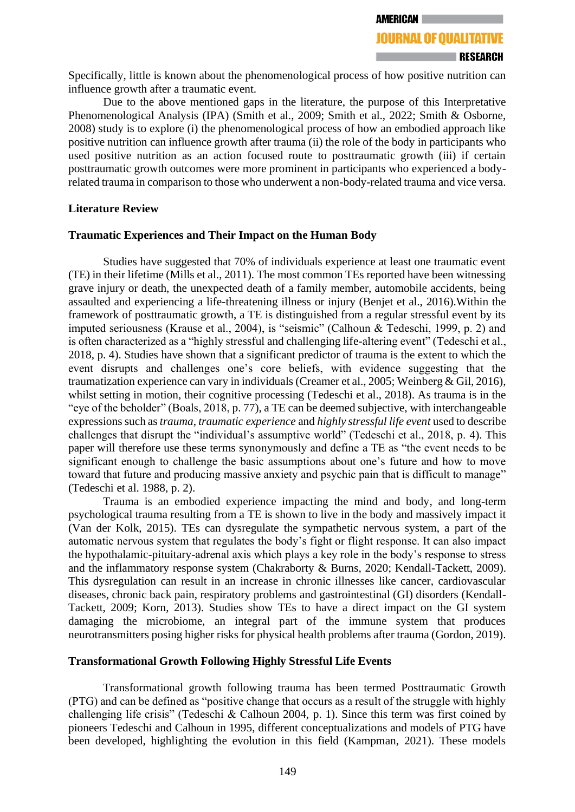Specifically, little is known about the phenomenological process of how positive nutrition can influence growth after a traumatic event.

Due to the above mentioned gaps in the literature, the purpose of this Interpretative Phenomenological Analysis (IPA) (Smith et al., 2009; Smith et al., 2022; Smith & Osborne, 2008) study is to explore (i) the phenomenological process of how an embodied approach like positive nutrition can influence growth after trauma (ii) the role of the body in participants who used positive nutrition as an action focused route to posttraumatic growth (iii) if certain posttraumatic growth outcomes were more prominent in participants who experienced a bodyrelated trauma in comparison to those who underwent a non-body-related trauma and vice versa.

#### **Literature Review**

#### **Traumatic Experiences and Their Impact on the Human Body**

Studies have suggested that 70% of individuals experience at least one traumatic event (TE) in their lifetime (Mills et al., 2011). The most common TEs reported have been witnessing grave injury or death, the unexpected death of a family member, automobile accidents, being assaulted and experiencing a life-threatening illness or injury (Benjet et al., 2016).Within the framework of posttraumatic growth, a TE is distinguished from a regular stressful event by its imputed seriousness (Krause et al., 2004), is "seismic" (Calhoun & Tedeschi, 1999, p. 2) and is often characterized as a "highly stressful and challenging life-altering event" (Tedeschi et al., 2018, p. 4). Studies have shown that a significant predictor of trauma is the extent to which the event disrupts and challenges one's core beliefs, with evidence suggesting that the traumatization experience can vary in individuals (Creamer et al., 2005; Weinberg & Gil, 2016), whilst setting in motion, their cognitive processing (Tedeschi et al., 2018). As trauma is in the "eye of the beholder" (Boals, 2018, p. 77), a TE can be deemed subjective, with interchangeable expressions such as *trauma*, *traumatic experience* and *highly stressful life event* used to describe challenges that disrupt the "individual's assumptive world" (Tedeschi et al., 2018, p. 4). This paper will therefore use these terms synonymously and define a TE as "the event needs to be significant enough to challenge the basic assumptions about one's future and how to move toward that future and producing massive anxiety and psychic pain that is difficult to manage" (Tedeschi et al. 1988, p. 2).

Trauma is an embodied experience impacting the mind and body, and long-term psychological trauma resulting from a TE is shown to live in the body and massively impact it (Van der Kolk, 2015). TEs can dysregulate the sympathetic nervous system, a part of the automatic nervous system that regulates the body's fight or flight response. It can also impact the hypothalamic-pituitary-adrenal axis which plays a key role in the body's response to stress and the inflammatory response system (Chakraborty & Burns, 2020; Kendall-Tackett, 2009). This dysregulation can result in an increase in chronic illnesses like cancer, cardiovascular diseases, chronic back pain, respiratory problems and gastrointestinal (GI) disorders (Kendall-Tackett, 2009; Korn, 2013). Studies show TEs to have a direct impact on the GI system damaging the microbiome, an integral part of the immune system that produces neurotransmitters posing higher risks for physical health problems after trauma (Gordon, 2019).

#### **Transformational Growth Following Highly Stressful Life Events**

Transformational growth following trauma has been termed Posttraumatic Growth (PTG) and can be defined as "positive change that occurs as a result of the struggle with highly challenging life crisis" (Tedeschi & Calhoun 2004, p. 1). Since this term was first coined by pioneers Tedeschi and Calhoun in 1995, different conceptualizations and models of PTG have been developed, highlighting the evolution in this field (Kampman, 2021). These models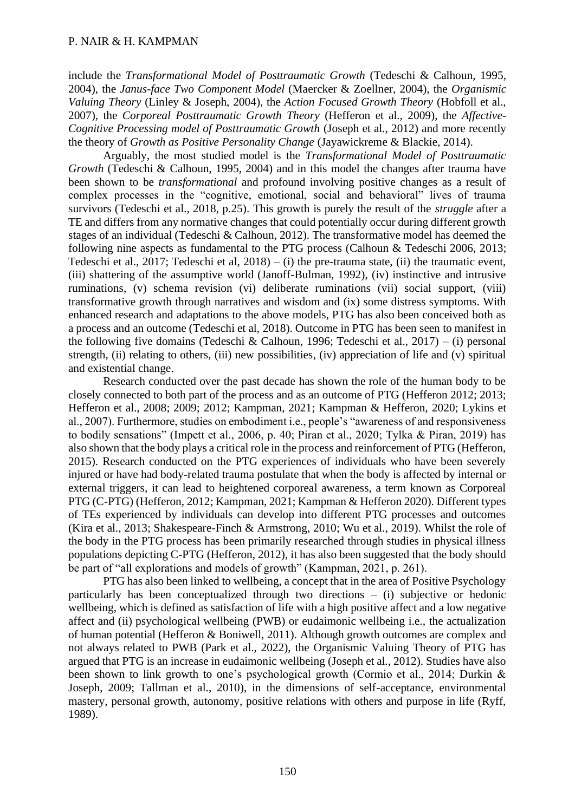include the *Transformational Model of Posttraumatic Growth* (Tedeschi & Calhoun, 1995, 2004), the *Janus-face Two Component Model* (Maercker & Zoellner, 2004), the *Organismic Valuing Theory* (Linley & Joseph, 2004), the *Action Focused Growth Theory* (Hobfoll et al., 2007), the *Corporeal Posttraumatic Growth Theory* (Hefferon et al., 2009), the *Affective-Cognitive Processing model of Posttraumatic Growth* (Joseph et al., 2012) and more recently the theory of *Growth as Positive Personality Change* (Jayawickreme & Blackie, 2014).

Arguably, the most studied model is the *Transformational Model of Posttraumatic Growth* (Tedeschi & Calhoun, 1995, 2004) and in this model the changes after trauma have been shown to be *transformational* and profound involving positive changes as a result of complex processes in the "cognitive, emotional, social and behavioral" lives of trauma survivors (Tedeschi et al., 2018, p.25). This growth is purely the result of the *struggle* after a TE and differs from any normative changes that could potentially occur during different growth stages of an individual (Tedeschi & Calhoun, 2012). The transformative model has deemed the following nine aspects as fundamental to the PTG process (Calhoun & Tedeschi 2006, 2013; Tedeschi et al., 2017; Tedeschi et al, 2018) – (i) the pre-trauma state, (ii) the traumatic event, (iii) shattering of the assumptive world (Janoff-Bulman, 1992), (iv) instinctive and intrusive ruminations, (v) schema revision (vi) deliberate ruminations (vii) social support, (viii) transformative growth through narratives and wisdom and (ix) some distress symptoms. With enhanced research and adaptations to the above models, PTG has also been conceived both as a process and an outcome (Tedeschi et al, 2018). Outcome in PTG has been seen to manifest in the following five domains (Tedeschi & Calhoun, 1996; Tedeschi et al., 2017) – (i) personal strength, (ii) relating to others, (iii) new possibilities, (iv) appreciation of life and (v) spiritual and existential change.

Research conducted over the past decade has shown the role of the human body to be closely connected to both part of the process and as an outcome of PTG (Hefferon 2012; 2013; Hefferon et al., 2008; 2009; 2012; Kampman, 2021; Kampman & Hefferon, 2020; Lykins et al., 2007). Furthermore, studies on embodiment i.e., people's "awareness of and responsiveness to bodily sensations" (Impett et al., 2006, p. 40; Piran et al., 2020; Tylka & Piran, 2019) has also shown that the body plays a critical role in the process and reinforcement of PTG (Hefferon, 2015). Research conducted on the PTG experiences of individuals who have been severely injured or have had body-related trauma postulate that when the body is affected by internal or external triggers, it can lead to heightened corporeal awareness, a term known as Corporeal PTG (C-PTG) (Hefferon, 2012; Kampman, 2021; Kampman & Hefferon 2020). Different types of TEs experienced by individuals can develop into different PTG processes and outcomes (Kira et al., 2013; Shakespeare-Finch & Armstrong, 2010; Wu et al., 2019). Whilst the role of the body in the PTG process has been primarily researched through studies in physical illness populations depicting C-PTG (Hefferon, 2012), it has also been suggested that the body should be part of "all explorations and models of growth" (Kampman, 2021, p. 261).

PTG has also been linked to wellbeing, a concept that in the area of Positive Psychology particularly has been conceptualized through two directions – (i) subjective or hedonic wellbeing, which is defined as satisfaction of life with a high positive affect and a low negative affect and (ii) psychological wellbeing (PWB) or eudaimonic wellbeing i.e., the actualization of human potential (Hefferon & Boniwell, 2011). Although growth outcomes are complex and not always related to PWB (Park et al., 2022), the Organismic Valuing Theory of PTG has argued that PTG is an increase in eudaimonic wellbeing (Joseph et al., 2012). Studies have also been shown to link growth to one's psychological growth (Cormio et al., 2014; Durkin & Joseph, 2009; Tallman et al., 2010), in the dimensions of self-acceptance, environmental mastery, personal growth, autonomy, positive relations with others and purpose in life (Ryff, 1989).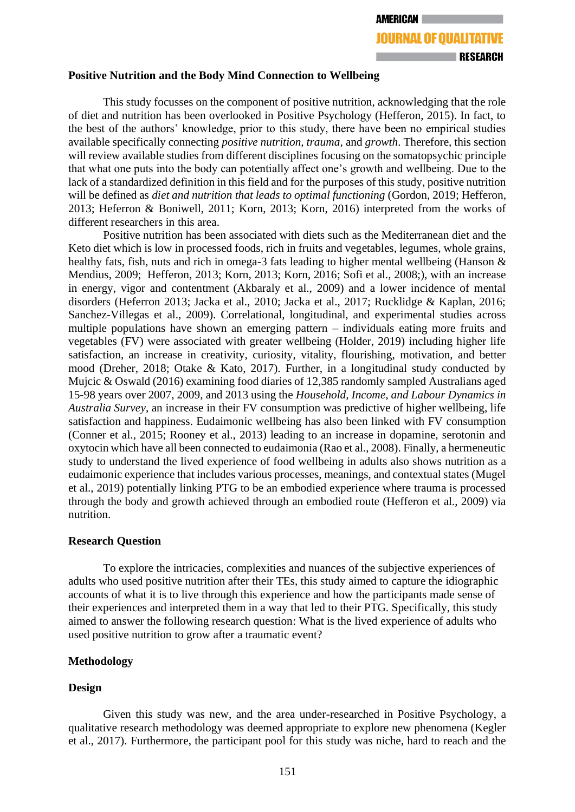**JOURNAL OF OUALITATIVE** 

#### **RESEARCH**

#### **Positive Nutrition and the Body Mind Connection to Wellbeing**

This study focusses on the component of positive nutrition, acknowledging that the role of diet and nutrition has been overlooked in Positive Psychology (Hefferon, 2015). In fact, to the best of the authors' knowledge, prior to this study, there have been no empirical studies available specifically connecting *positive nutrition, trauma,* and *growth*. Therefore, this section will review available studies from different disciplines focusing on the somatopsychic principle that what one puts into the body can potentially affect one's growth and wellbeing. Due to the lack of a standardized definition in this field and for the purposes of this study, positive nutrition will be defined as *diet and nutrition that leads to optimal functioning* (Gordon, 2019; Hefferon, 2013; Heferron & Boniwell, 2011; Korn, 2013; Korn, 2016) interpreted from the works of different researchers in this area.

Positive nutrition has been associated with diets such as the Mediterranean diet and the Keto diet which is low in processed foods, rich in fruits and vegetables, legumes, whole grains, healthy fats, fish, nuts and rich in omega-3 fats leading to higher mental wellbeing (Hanson & Mendius, 2009; Hefferon, 2013; Korn, 2013; Korn, 2016; Sofi et al., 2008;), with an increase in energy, vigor and contentment (Akbaraly et al., 2009) and a lower incidence of mental disorders (Heferron 2013; Jacka et al., 2010; Jacka et al., 2017; Rucklidge & Kaplan, 2016; Sanchez-Villegas et al., 2009). Correlational, longitudinal, and experimental studies across multiple populations have shown an emerging pattern – individuals eating more fruits and vegetables (FV) were associated with greater wellbeing (Holder, 2019) including higher life satisfaction, an increase in creativity, curiosity, vitality, flourishing, motivation, and better mood (Dreher, 2018; Otake & Kato, 2017). Further, in a longitudinal study conducted by Mujcic & Oswald (2016) examining food diaries of 12,385 randomly sampled Australians aged 15-98 years over 2007, 2009, and 2013 using the *Household, Income, and Labour Dynamics in Australia Survey*, an increase in their FV consumption was predictive of higher wellbeing, life satisfaction and happiness. Eudaimonic wellbeing has also been linked with FV consumption (Conner et al., 2015; Rooney et al., 2013) leading to an increase in dopamine, serotonin and oxytocin which have all been connected to eudaimonia (Rao et al., 2008). Finally, a hermeneutic study to understand the lived experience of food wellbeing in adults also shows nutrition as a eudaimonic experience that includes various processes, meanings, and contextual states (Mugel et al., 2019) potentially linking PTG to be an embodied experience where trauma is processed through the body and growth achieved through an embodied route (Hefferon et al., 2009) via nutrition.

#### **Research Question**

To explore the intricacies, complexities and nuances of the subjective experiences of adults who used positive nutrition after their TEs, this study aimed to capture the idiographic accounts of what it is to live through this experience and how the participants made sense of their experiences and interpreted them in a way that led to their PTG. Specifically, this study aimed to answer the following research question: What is the lived experience of adults who used positive nutrition to grow after a traumatic event?

# **Methodology**

# **Design**

Given this study was new, and the area under-researched in Positive Psychology, a qualitative research methodology was deemed appropriate to explore new phenomena (Kegler et al., 2017). Furthermore, the participant pool for this study was niche, hard to reach and the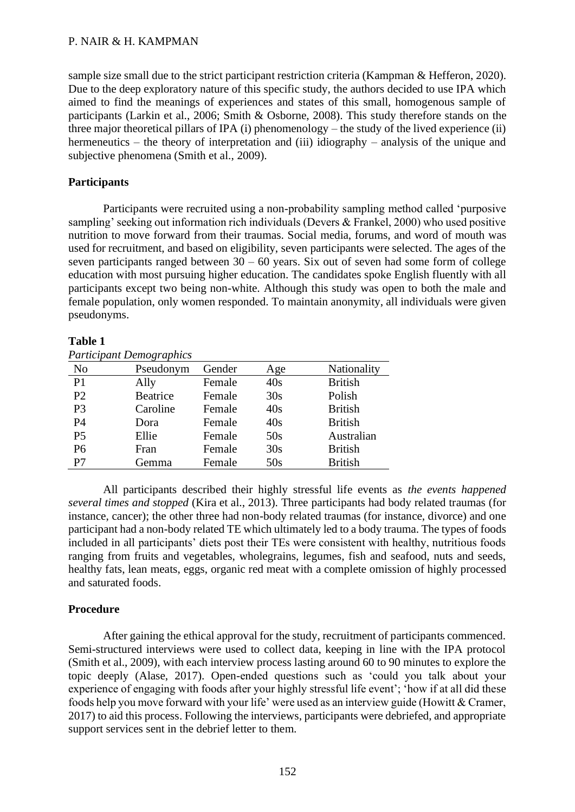sample size small due to the strict participant restriction criteria (Kampman & Hefferon, 2020). Due to the deep exploratory nature of this specific study, the authors decided to use IPA which aimed to find the meanings of experiences and states of this small, homogenous sample of participants (Larkin et al., 2006; Smith & Osborne, 2008). This study therefore stands on the three major theoretical pillars of IPA  $(i)$  phenomenology – the study of the lived experience  $(ii)$ hermeneutics – the theory of interpretation and (iii) idiography – analysis of the unique and subjective phenomena (Smith et al., 2009).

# **Participants**

Participants were recruited using a non-probability sampling method called 'purposive sampling' seeking out information rich individuals (Devers & Frankel, 2000) who used positive nutrition to move forward from their traumas. Social media, forums, and word of mouth was used for recruitment, and based on eligibility, seven participants were selected. The ages of the seven participants ranged between  $30 - 60$  years. Six out of seven had some form of college education with most pursuing higher education. The candidates spoke English fluently with all participants except two being non-white. Although this study was open to both the male and female population, only women responded. To maintain anonymity, all individuals were given pseudonyms.

#### **Table 1**

| N <sub>o</sub> | Pseudonym | Gender | Age | Nationality    |
|----------------|-----------|--------|-----|----------------|
| P <sub>1</sub> | Ally      | Female | 40s | <b>British</b> |
| P <sub>2</sub> | Beatrice  | Female | 30s | Polish         |
| P <sub>3</sub> | Caroline  | Female | 40s | <b>British</b> |
| <b>P4</b>      | Dora      | Female | 40s | <b>British</b> |
| P <sub>5</sub> | Ellie     | Female | 50s | Australian     |
| P <sub>6</sub> | Fran      | Female | 30s | <b>British</b> |
| P7             | Gemma     | Female | 50s | <b>British</b> |
|                |           |        |     |                |

All participants described their highly stressful life events as *the events happened several times and stopped* (Kira et al., 2013). Three participants had body related traumas (for instance, cancer); the other three had non-body related traumas (for instance, divorce) and one participant had a non-body related TE which ultimately led to a body trauma. The types of foods included in all participants' diets post their TEs were consistent with healthy, nutritious foods ranging from fruits and vegetables, wholegrains, legumes, fish and seafood, nuts and seeds, healthy fats, lean meats, eggs, organic red meat with a complete omission of highly processed and saturated foods.

#### **Procedure**

After gaining the ethical approval for the study, recruitment of participants commenced. Semi-structured interviews were used to collect data, keeping in line with the IPA protocol (Smith et al., 2009), with each interview process lasting around 60 to 90 minutes to explore the topic deeply (Alase, 2017). Open-ended questions such as 'could you talk about your experience of engaging with foods after your highly stressful life event'; 'how if at all did these foods help you move forward with your life' were used as an interview guide (Howitt & Cramer, 2017) to aid this process. Following the interviews, participants were debriefed, and appropriate support services sent in the debrief letter to them.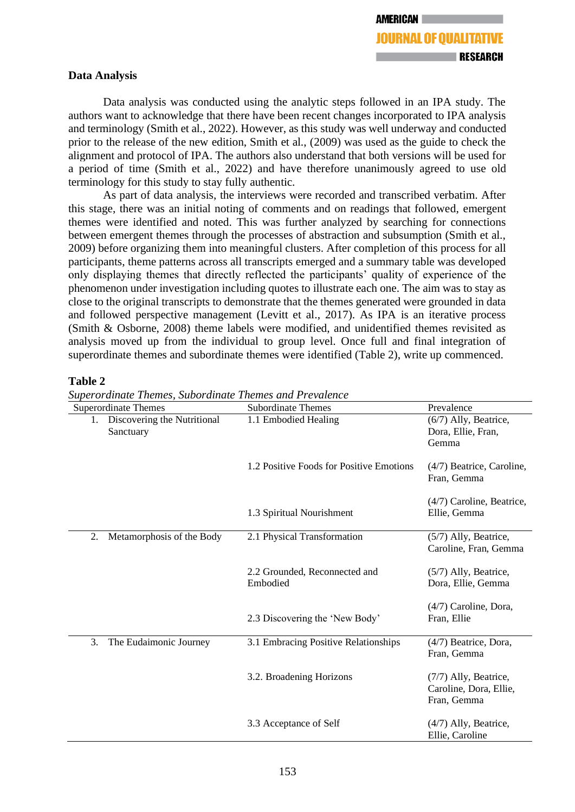#### **Data Analysis**

Data analysis was conducted using the analytic steps followed in an IPA study. The authors want to acknowledge that there have been recent changes incorporated to IPA analysis and terminology (Smith et al., 2022). However, as this study was well underway and conducted prior to the release of the new edition, Smith et al., (2009) was used as the guide to check the alignment and protocol of IPA. The authors also understand that both versions will be used for a period of time (Smith et al., 2022) and have therefore unanimously agreed to use old terminology for this study to stay fully authentic.

As part of data analysis, the interviews were recorded and transcribed verbatim. After this stage, there was an initial noting of comments and on readings that followed, emergent themes were identified and noted. This was further analyzed by searching for connections between emergent themes through the processes of abstraction and subsumption (Smith et al., 2009) before organizing them into meaningful clusters. After completion of this process for all participants, theme patterns across all transcripts emerged and a summary table was developed only displaying themes that directly reflected the participants' quality of experience of the phenomenon under investigation including quotes to illustrate each one. The aim was to stay as close to the original transcripts to demonstrate that the themes generated were grounded in data and followed perspective management (Levitt et al., 2017). As IPA is an iterative process (Smith & Osborne, 2008) theme labels were modified, and unidentified themes revisited as analysis moved up from the individual to group level. Once full and final integration of superordinate themes and subordinate themes were identified (Table 2), write up commenced.

# **Table 2**

| superorumate Themes, suborumate Themes and Frevalence |                                           |                                                                  |  |  |  |  |
|-------------------------------------------------------|-------------------------------------------|------------------------------------------------------------------|--|--|--|--|
| <b>Superordinate Themes</b>                           | <b>Subordinate Themes</b>                 | Prevalence                                                       |  |  |  |  |
| Discovering the Nutritional<br>1.<br>Sanctuary        | 1.1 Embodied Healing                      | (6/7) Ally, Beatrice,<br>Dora, Ellie, Fran,<br>Gemma             |  |  |  |  |
|                                                       | 1.2 Positive Foods for Positive Emotions  | $(4/7)$ Beatrice, Caroline,<br>Fran, Gemma                       |  |  |  |  |
|                                                       | 1.3 Spiritual Nourishment                 | (4/7) Caroline, Beatrice,<br>Ellie, Gemma                        |  |  |  |  |
| Metamorphosis of the Body<br>2.                       | 2.1 Physical Transformation               | $(5/7)$ Ally, Beatrice,<br>Caroline, Fran, Gemma                 |  |  |  |  |
|                                                       | 2.2 Grounded, Reconnected and<br>Embodied | $(5/7)$ Ally, Beatrice,<br>Dora, Ellie, Gemma                    |  |  |  |  |
|                                                       | 2.3 Discovering the 'New Body'            | (4/7) Caroline, Dora,<br>Fran, Ellie                             |  |  |  |  |
| 3.<br>The Eudaimonic Journey                          | 3.1 Embracing Positive Relationships      | (4/7) Beatrice, Dora,<br>Fran, Gemma                             |  |  |  |  |
|                                                       | 3.2. Broadening Horizons                  | $(7/7)$ Ally, Beatrice,<br>Caroline, Dora, Ellie,<br>Fran, Gemma |  |  |  |  |
|                                                       | 3.3 Acceptance of Self                    | $(4/7)$ Ally, Beatrice,<br>Ellie, Caroline                       |  |  |  |  |

*Superordinate Themes, Subordinate Themes and Prevalence*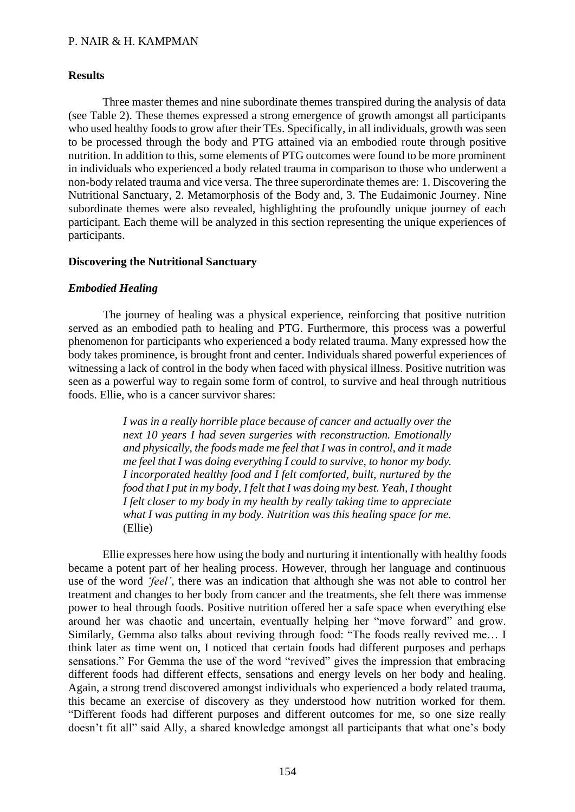# **Results**

Three master themes and nine subordinate themes transpired during the analysis of data (see Table 2). These themes expressed a strong emergence of growth amongst all participants who used healthy foods to grow after their TEs. Specifically, in all individuals, growth was seen to be processed through the body and PTG attained via an embodied route through positive nutrition. In addition to this, some elements of PTG outcomes were found to be more prominent in individuals who experienced a body related trauma in comparison to those who underwent a non-body related trauma and vice versa. The three superordinate themes are: 1. Discovering the Nutritional Sanctuary, 2. Metamorphosis of the Body and, 3. The Eudaimonic Journey. Nine subordinate themes were also revealed, highlighting the profoundly unique journey of each participant. Each theme will be analyzed in this section representing the unique experiences of participants.

#### **Discovering the Nutritional Sanctuary**

# *Embodied Healing*

The journey of healing was a physical experience, reinforcing that positive nutrition served as an embodied path to healing and PTG. Furthermore, this process was a powerful phenomenon for participants who experienced a body related trauma. Many expressed how the body takes prominence, is brought front and center. Individuals shared powerful experiences of witnessing a lack of control in the body when faced with physical illness. Positive nutrition was seen as a powerful way to regain some form of control, to survive and heal through nutritious foods. Ellie, who is a cancer survivor shares:

> *I was in a really horrible place because of cancer and actually over the next 10 years I had seven surgeries with reconstruction. Emotionally and physically, the foods made me feel that I was in control, and it made me feel that I was doing everything I could to survive, to honor my body. I incorporated healthy food and I felt comforted, built, nurtured by the food that I put in my body, I felt that I was doing my best. Yeah, I thought I felt closer to my body in my health by really taking time to appreciate what I was putting in my body. Nutrition was this healing space for me.*  (Ellie)

Ellie expresses here how using the body and nurturing it intentionally with healthy foods became a potent part of her healing process. However, through her language and continuous use of the word *'feel'*, there was an indication that although she was not able to control her treatment and changes to her body from cancer and the treatments, she felt there was immense power to heal through foods. Positive nutrition offered her a safe space when everything else around her was chaotic and uncertain, eventually helping her "move forward" and grow. Similarly, Gemma also talks about reviving through food: "The foods really revived me… I think later as time went on, I noticed that certain foods had different purposes and perhaps sensations." For Gemma the use of the word "revived" gives the impression that embracing different foods had different effects, sensations and energy levels on her body and healing. Again, a strong trend discovered amongst individuals who experienced a body related trauma, this became an exercise of discovery as they understood how nutrition worked for them. "Different foods had different purposes and different outcomes for me, so one size really doesn't fit all" said Ally, a shared knowledge amongst all participants that what one's body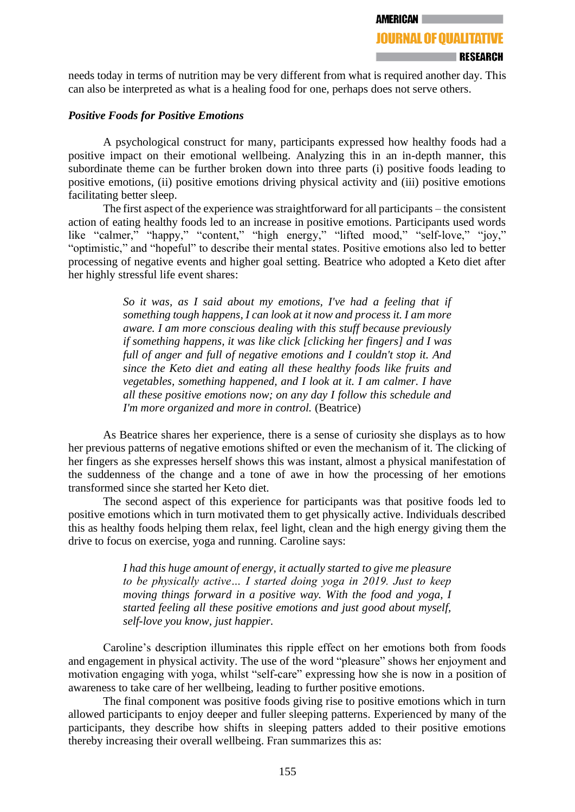needs today in terms of nutrition may be very different from what is required another day. This can also be interpreted as what is a healing food for one, perhaps does not serve others.

#### *Positive Foods for Positive Emotions*

A psychological construct for many, participants expressed how healthy foods had a positive impact on their emotional wellbeing. Analyzing this in an in-depth manner, this subordinate theme can be further broken down into three parts (i) positive foods leading to positive emotions, (ii) positive emotions driving physical activity and (iii) positive emotions facilitating better sleep.

The first aspect of the experience was straightforward for all participants – the consistent action of eating healthy foods led to an increase in positive emotions. Participants used words like "calmer," "happy," "content," "high energy," "lifted mood," "self-love," "joy," "optimistic," and "hopeful" to describe their mental states. Positive emotions also led to better processing of negative events and higher goal setting. Beatrice who adopted a Keto diet after her highly stressful life event shares:

> *So it was, as I said about my emotions, I've had a feeling that if something tough happens, I can look at it now and process it. I am more aware. I am more conscious dealing with this stuff because previously if something happens, it was like click [clicking her fingers] and I was full of anger and full of negative emotions and I couldn't stop it. And since the Keto diet and eating all these healthy foods like fruits and vegetables, something happened, and I look at it. I am calmer. I have all these positive emotions now; on any day I follow this schedule and I'm more organized and more in control.* (Beatrice)

As Beatrice shares her experience, there is a sense of curiosity she displays as to how her previous patterns of negative emotions shifted or even the mechanism of it. The clicking of her fingers as she expresses herself shows this was instant, almost a physical manifestation of the suddenness of the change and a tone of awe in how the processing of her emotions transformed since she started her Keto diet.

The second aspect of this experience for participants was that positive foods led to positive emotions which in turn motivated them to get physically active. Individuals described this as healthy foods helping them relax, feel light, clean and the high energy giving them the drive to focus on exercise, yoga and running. Caroline says:

> *I had this huge amount of energy, it actually started to give me pleasure to be physically active… I started doing yoga in 2019. Just to keep moving things forward in a positive way. With the food and yoga, I started feeling all these positive emotions and just good about myself, self-love you know, just happier.*

Caroline's description illuminates this ripple effect on her emotions both from foods and engagement in physical activity. The use of the word "pleasure" shows her enjoyment and motivation engaging with yoga, whilst "self-care" expressing how she is now in a position of awareness to take care of her wellbeing, leading to further positive emotions.

The final component was positive foods giving rise to positive emotions which in turn allowed participants to enjoy deeper and fuller sleeping patterns. Experienced by many of the participants, they describe how shifts in sleeping patters added to their positive emotions thereby increasing their overall wellbeing. Fran summarizes this as: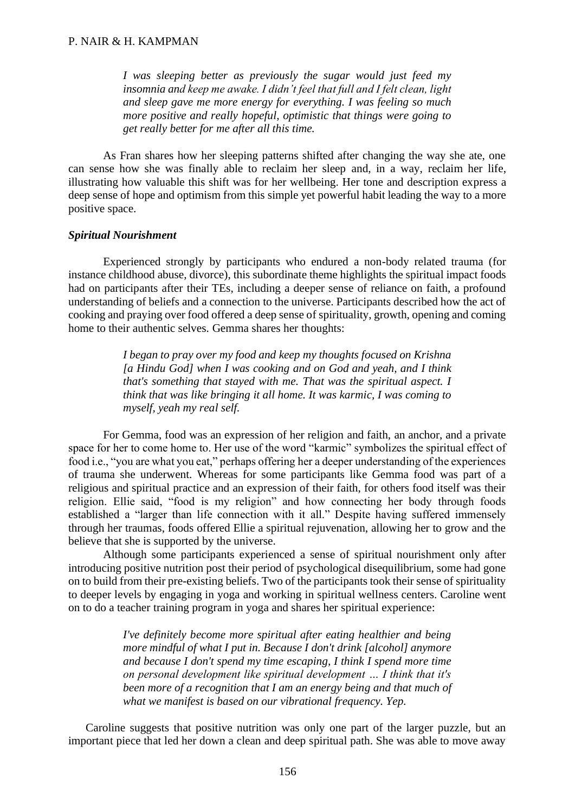*I was sleeping better as previously the sugar would just feed my insomnia and keep me awake. I didn't feel that full and I felt clean, light and sleep gave me more energy for everything. I was feeling so much more positive and really hopeful, optimistic that things were going to get really better for me after all this time.*

As Fran shares how her sleeping patterns shifted after changing the way she ate, one can sense how she was finally able to reclaim her sleep and, in a way, reclaim her life, illustrating how valuable this shift was for her wellbeing. Her tone and description express a deep sense of hope and optimism from this simple yet powerful habit leading the way to a more positive space.

#### *Spiritual Nourishment*

Experienced strongly by participants who endured a non-body related trauma (for instance childhood abuse, divorce), this subordinate theme highlights the spiritual impact foods had on participants after their TEs, including a deeper sense of reliance on faith, a profound understanding of beliefs and a connection to the universe. Participants described how the act of cooking and praying over food offered a deep sense of spirituality, growth, opening and coming home to their authentic selves. Gemma shares her thoughts:

> *I began to pray over my food and keep my thoughts focused on Krishna [a Hindu God] when I was cooking and on God and yeah, and I think that's something that stayed with me. That was the spiritual aspect. I think that was like bringing it all home. It was karmic, I was coming to myself, yeah my real self.*

For Gemma, food was an expression of her religion and faith, an anchor, and a private space for her to come home to. Her use of the word "karmic" symbolizes the spiritual effect of food i.e., "you are what you eat," perhaps offering her a deeper understanding of the experiences of trauma she underwent. Whereas for some participants like Gemma food was part of a religious and spiritual practice and an expression of their faith, for others food itself was their religion. Ellie said, "food is my religion" and how connecting her body through foods established a "larger than life connection with it all." Despite having suffered immensely through her traumas, foods offered Ellie a spiritual rejuvenation, allowing her to grow and the believe that she is supported by the universe.

Although some participants experienced a sense of spiritual nourishment only after introducing positive nutrition post their period of psychological disequilibrium, some had gone on to build from their pre-existing beliefs. Two of the participants took their sense of spirituality to deeper levels by engaging in yoga and working in spiritual wellness centers. Caroline went on to do a teacher training program in yoga and shares her spiritual experience:

> *I've definitely become more spiritual after eating healthier and being more mindful of what I put in. Because I don't drink [alcohol] anymore and because I don't spend my time escaping, I think I spend more time on personal development like spiritual development … I think that it's been more of a recognition that I am an energy being and that much of what we manifest is based on our vibrational frequency. Yep.*

Caroline suggests that positive nutrition was only one part of the larger puzzle, but an important piece that led her down a clean and deep spiritual path. She was able to move away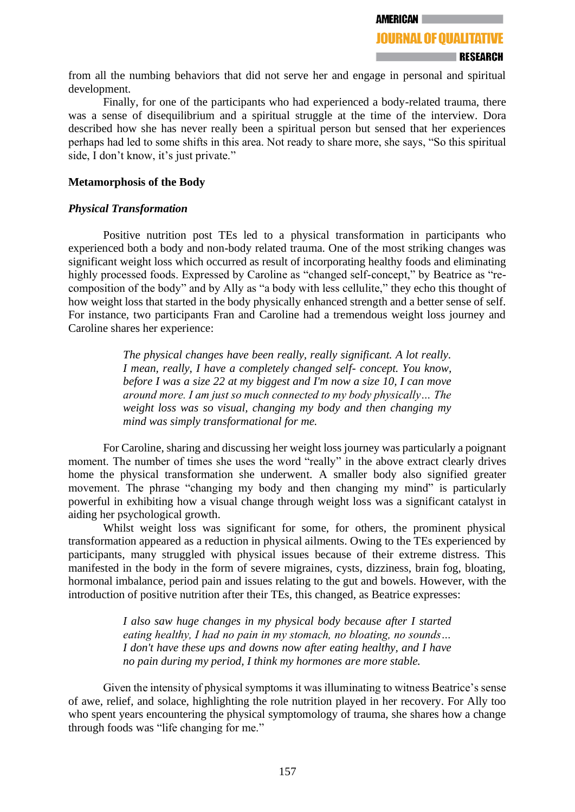from all the numbing behaviors that did not serve her and engage in personal and spiritual development.

Finally, for one of the participants who had experienced a body-related trauma, there was a sense of disequilibrium and a spiritual struggle at the time of the interview. Dora described how she has never really been a spiritual person but sensed that her experiences perhaps had led to some shifts in this area. Not ready to share more, she says, "So this spiritual side, I don't know, it's just private."

#### **Metamorphosis of the Body**

# *Physical Transformation*

Positive nutrition post TEs led to a physical transformation in participants who experienced both a body and non-body related trauma. One of the most striking changes was significant weight loss which occurred as result of incorporating healthy foods and eliminating highly processed foods. Expressed by Caroline as "changed self-concept," by Beatrice as "recomposition of the body" and by Ally as "a body with less cellulite," they echo this thought of how weight loss that started in the body physically enhanced strength and a better sense of self. For instance, two participants Fran and Caroline had a tremendous weight loss journey and Caroline shares her experience:

> *The physical changes have been really, really significant. A lot really. I mean, really, I have a completely changed self- concept. You know, before I was a size 22 at my biggest and I'm now a size 10, I can move around more. I am just so much connected to my body physically… The weight loss was so visual, changing my body and then changing my mind was simply transformational for me.*

For Caroline, sharing and discussing her weight loss journey was particularly a poignant moment. The number of times she uses the word "really" in the above extract clearly drives home the physical transformation she underwent. A smaller body also signified greater movement. The phrase "changing my body and then changing my mind" is particularly powerful in exhibiting how a visual change through weight loss was a significant catalyst in aiding her psychological growth.

Whilst weight loss was significant for some, for others, the prominent physical transformation appeared as a reduction in physical ailments. Owing to the TEs experienced by participants, many struggled with physical issues because of their extreme distress. This manifested in the body in the form of severe migraines, cysts, dizziness, brain fog, bloating, hormonal imbalance, period pain and issues relating to the gut and bowels. However, with the introduction of positive nutrition after their TEs, this changed, as Beatrice expresses:

> *I also saw huge changes in my physical body because after I started eating healthy, I had no pain in my stomach, no bloating, no sounds… I don't have these ups and downs now after eating healthy, and I have no pain during my period, I think my hormones are more stable.*

Given the intensity of physical symptoms it was illuminating to witness Beatrice's sense of awe, relief, and solace, highlighting the role nutrition played in her recovery. For Ally too who spent years encountering the physical symptomology of trauma, she shares how a change through foods was "life changing for me."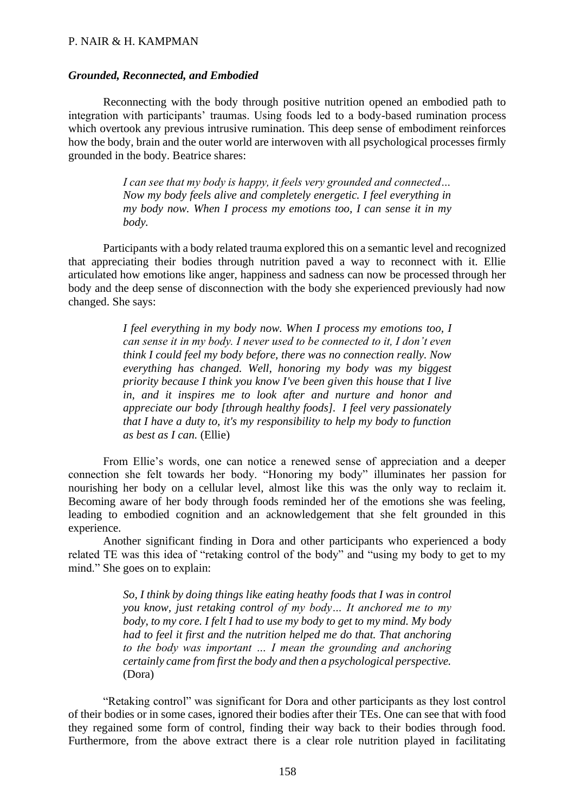#### *Grounded, Reconnected, and Embodied*

Reconnecting with the body through positive nutrition opened an embodied path to integration with participants' traumas. Using foods led to a body-based rumination process which overtook any previous intrusive rumination. This deep sense of embodiment reinforces how the body, brain and the outer world are interwoven with all psychological processes firmly grounded in the body. Beatrice shares:

> *I can see that my body is happy, it feels very grounded and connected… Now my body feels alive and completely energetic. I feel everything in my body now. When I process my emotions too, I can sense it in my body.*

Participants with a body related trauma explored this on a semantic level and recognized that appreciating their bodies through nutrition paved a way to reconnect with it. Ellie articulated how emotions like anger, happiness and sadness can now be processed through her body and the deep sense of disconnection with the body she experienced previously had now changed. She says:

> *I feel everything in my body now. When I process my emotions too, I can sense it in my body. I never used to be connected to it, I don't even think I could feel my body before, there was no connection really. Now everything has changed. Well, honoring my body was my biggest priority because I think you know I've been given this house that I live in, and it inspires me to look after and nurture and honor and appreciate our body [through healthy foods]. I feel very passionately that I have a duty to, it's my responsibility to help my body to function as best as I can.* (Ellie)

From Ellie's words, one can notice a renewed sense of appreciation and a deeper connection she felt towards her body. "Honoring my body" illuminates her passion for nourishing her body on a cellular level, almost like this was the only way to reclaim it. Becoming aware of her body through foods reminded her of the emotions she was feeling, leading to embodied cognition and an acknowledgement that she felt grounded in this experience.

Another significant finding in Dora and other participants who experienced a body related TE was this idea of "retaking control of the body" and "using my body to get to my mind." She goes on to explain:

> *So, I think by doing things like eating heathy foods that I was in control you know, just retaking control of my body… It anchored me to my body, to my core. I felt I had to use my body to get to my mind. My body had to feel it first and the nutrition helped me do that. That anchoring to the body was important … I mean the grounding and anchoring certainly came from first the body and then a psychological perspective.*  (Dora)

"Retaking control" was significant for Dora and other participants as they lost control of their bodies or in some cases, ignored their bodies after their TEs. One can see that with food they regained some form of control, finding their way back to their bodies through food. Furthermore, from the above extract there is a clear role nutrition played in facilitating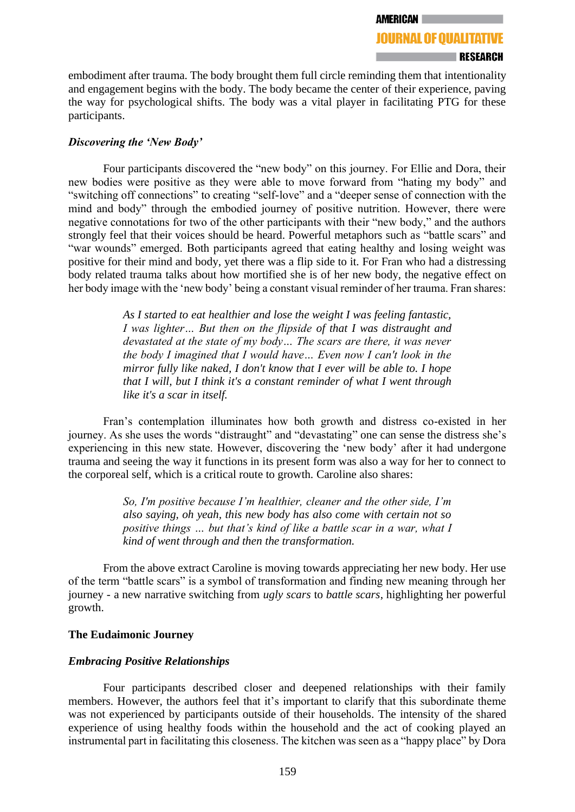embodiment after trauma. The body brought them full circle reminding them that intentionality and engagement begins with the body. The body became the center of their experience, paving the way for psychological shifts. The body was a vital player in facilitating PTG for these participants.

# *Discovering the 'New Body'*

Four participants discovered the "new body" on this journey. For Ellie and Dora, their new bodies were positive as they were able to move forward from "hating my body" and "switching off connections" to creating "self-love" and a "deeper sense of connection with the mind and body" through the embodied journey of positive nutrition. However, there were negative connotations for two of the other participants with their "new body," and the authors strongly feel that their voices should be heard. Powerful metaphors such as "battle scars" and "war wounds" emerged. Both participants agreed that eating healthy and losing weight was positive for their mind and body, yet there was a flip side to it. For Fran who had a distressing body related trauma talks about how mortified she is of her new body, the negative effect on her body image with the 'new body' being a constant visual reminder of her trauma. Fran shares:

> *As I started to eat healthier and lose the weight I was feeling fantastic, I was lighter… But then on the flipside of that I was distraught and devastated at the state of my body… The scars are there, it was never the body I imagined that I would have… Even now I can't look in the mirror fully like naked, I don't know that I ever will be able to. I hope that I will, but I think it's a constant reminder of what I went through like it's a scar in itself.*

Fran's contemplation illuminates how both growth and distress co-existed in her journey. As she uses the words "distraught" and "devastating" one can sense the distress she's experiencing in this new state. However, discovering the 'new body' after it had undergone trauma and seeing the way it functions in its present form was also a way for her to connect to the corporeal self, which is a critical route to growth. Caroline also shares:

> *So, I'm positive because I'm healthier, cleaner and the other side, I'm also saying, oh yeah, this new body has also come with certain not so positive things … but that's kind of like a battle scar in a war, what I kind of went through and then the transformation.*

From the above extract Caroline is moving towards appreciating her new body. Her use of the term "battle scars" is a symbol of transformation and finding new meaning through her journey - a new narrative switching from *ugly scars* to *battle scars*, highlighting her powerful growth.

# **The Eudaimonic Journey**

# *Embracing Positive Relationships*

Four participants described closer and deepened relationships with their family members. However, the authors feel that it's important to clarify that this subordinate theme was not experienced by participants outside of their households. The intensity of the shared experience of using healthy foods within the household and the act of cooking played an instrumental part in facilitating this closeness. The kitchen was seen as a "happy place" by Dora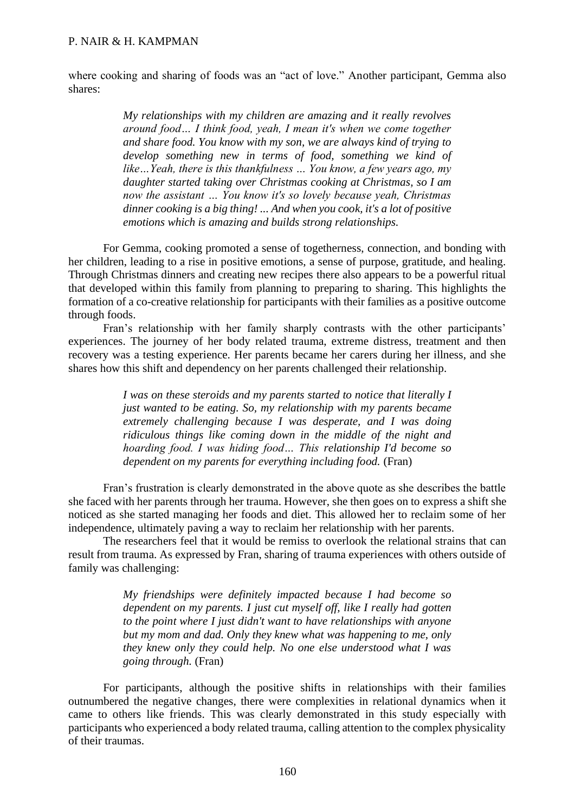where cooking and sharing of foods was an "act of love." Another participant, Gemma also shares:

> *My relationships with my children are amazing and it really revolves around food… I think food, yeah, I mean it's when we come together and share food. You know with my son, we are always kind of trying to develop something new in terms of food, something we kind of like…Yeah, there is this thankfulness … You know, a few years ago, my daughter started taking over Christmas cooking at Christmas, so I am now the assistant … You know it's so lovely because yeah, Christmas dinner cooking is a big thing! ... And when you cook, it's a lot of positive emotions which is amazing and builds strong relationships.*

For Gemma, cooking promoted a sense of togetherness, connection, and bonding with her children, leading to a rise in positive emotions, a sense of purpose, gratitude, and healing. Through Christmas dinners and creating new recipes there also appears to be a powerful ritual that developed within this family from planning to preparing to sharing. This highlights the formation of a co-creative relationship for participants with their families as a positive outcome through foods.

Fran's relationship with her family sharply contrasts with the other participants' experiences. The journey of her body related trauma, extreme distress, treatment and then recovery was a testing experience. Her parents became her carers during her illness, and she shares how this shift and dependency on her parents challenged their relationship.

> *I was on these steroids and my parents started to notice that literally I just wanted to be eating. So, my relationship with my parents became extremely challenging because I was desperate, and I was doing ridiculous things like coming down in the middle of the night and hoarding food. I was hiding food… This relationship I'd become so dependent on my parents for everything including food.* (Fran)

Fran's frustration is clearly demonstrated in the above quote as she describes the battle she faced with her parents through her trauma. However, she then goes on to express a shift she noticed as she started managing her foods and diet. This allowed her to reclaim some of her independence, ultimately paving a way to reclaim her relationship with her parents.

The researchers feel that it would be remiss to overlook the relational strains that can result from trauma. As expressed by Fran, sharing of trauma experiences with others outside of family was challenging:

> *My friendships were definitely impacted because I had become so dependent on my parents. I just cut myself off, like I really had gotten to the point where I just didn't want to have relationships with anyone but my mom and dad. Only they knew what was happening to me, only they knew only they could help. No one else understood what I was going through.* (Fran)

For participants, although the positive shifts in relationships with their families outnumbered the negative changes, there were complexities in relational dynamics when it came to others like friends. This was clearly demonstrated in this study especially with participants who experienced a body related trauma, calling attention to the complex physicality of their traumas.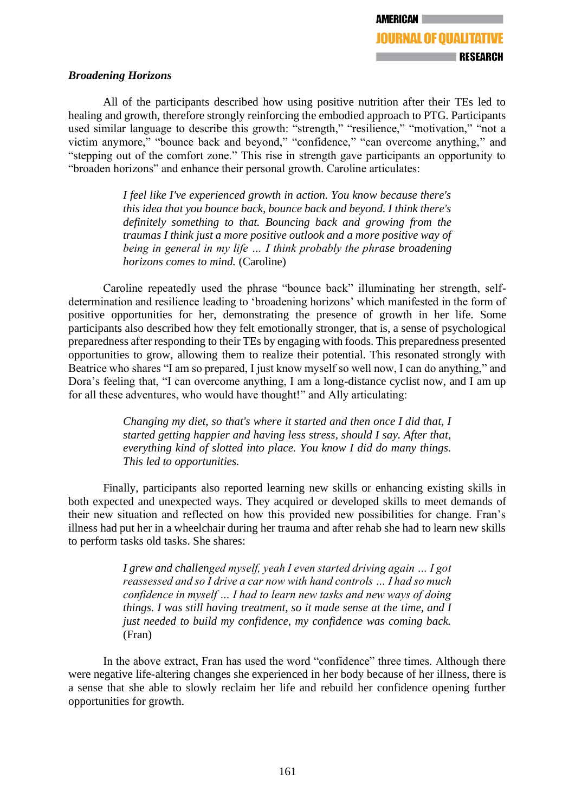# *Broadening Horizons*

All of the participants described how using positive nutrition after their TEs led to healing and growth, therefore strongly reinforcing the embodied approach to PTG. Participants used similar language to describe this growth: "strength," "resilience," "motivation," "not a victim anymore," "bounce back and beyond," "confidence," "can overcome anything," and "stepping out of the comfort zone." This rise in strength gave participants an opportunity to "broaden horizons" and enhance their personal growth. Caroline articulates:

> *I feel like I've experienced growth in action. You know because there's this idea that you bounce back, bounce back and beyond. I think there's definitely something to that. Bouncing back and growing from the traumas I think just a more positive outlook and a more positive way of being in general in my life … I think probably the phrase broadening horizons comes to mind.* (Caroline)

Caroline repeatedly used the phrase "bounce back" illuminating her strength, selfdetermination and resilience leading to 'broadening horizons' which manifested in the form of positive opportunities for her, demonstrating the presence of growth in her life. Some participants also described how they felt emotionally stronger, that is, a sense of psychological preparedness after responding to their TEs by engaging with foods. This preparedness presented opportunities to grow, allowing them to realize their potential. This resonated strongly with Beatrice who shares "I am so prepared, I just know myself so well now, I can do anything," and Dora's feeling that, "I can overcome anything, I am a long-distance cyclist now, and I am up for all these adventures, who would have thought!" and Ally articulating:

> *Changing my diet, so that's where it started and then once I did that, I started getting happier and having less stress, should I say. After that, everything kind of slotted into place. You know I did do many things. This led to opportunities.*

Finally, participants also reported learning new skills or enhancing existing skills in both expected and unexpected ways. They acquired or developed skills to meet demands of their new situation and reflected on how this provided new possibilities for change. Fran's illness had put her in a wheelchair during her trauma and after rehab she had to learn new skills to perform tasks old tasks. She shares:

> *I grew and challenged myself, yeah I even started driving again … I got reassessed and so I drive a car now with hand controls … I had so much confidence in myself … I had to learn new tasks and new ways of doing things. I was still having treatment, so it made sense at the time, and I just needed to build my confidence, my confidence was coming back.*  (Fran)

In the above extract, Fran has used the word "confidence" three times. Although there were negative life-altering changes she experienced in her body because of her illness, there is a sense that she able to slowly reclaim her life and rebuild her confidence opening further opportunities for growth.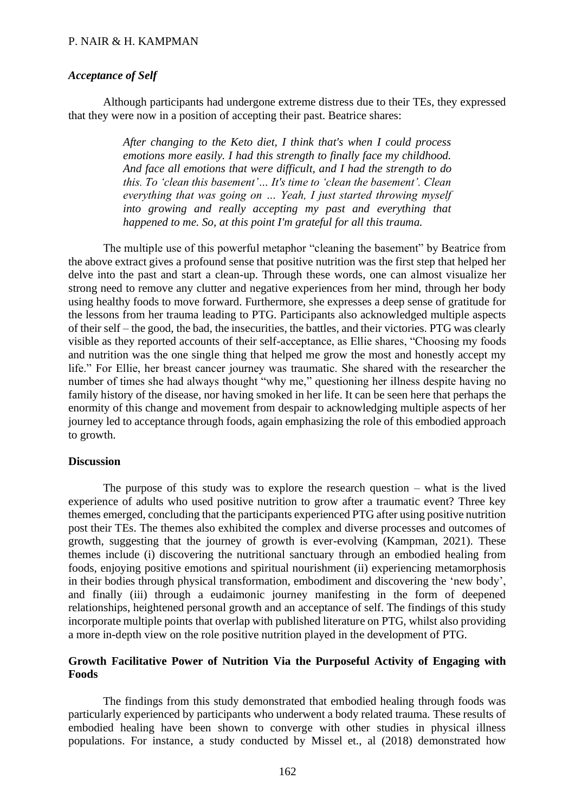#### *Acceptance of Self*

Although participants had undergone extreme distress due to their TEs, they expressed that they were now in a position of accepting their past. Beatrice shares:

> *After changing to the Keto diet, I think that's when I could process emotions more easily. I had this strength to finally face my childhood. And face all emotions that were difficult, and I had the strength to do this. To 'clean this basement'… It's time to 'clean the basement'. Clean everything that was going on … Yeah, I just started throwing myself into growing and really accepting my past and everything that happened to me. So, at this point I'm grateful for all this trauma.*

The multiple use of this powerful metaphor "cleaning the basement" by Beatrice from the above extract gives a profound sense that positive nutrition was the first step that helped her delve into the past and start a clean-up. Through these words, one can almost visualize her strong need to remove any clutter and negative experiences from her mind, through her body using healthy foods to move forward. Furthermore, she expresses a deep sense of gratitude for the lessons from her trauma leading to PTG. Participants also acknowledged multiple aspects of their self – the good, the bad, the insecurities, the battles, and their victories. PTG was clearly visible as they reported accounts of their self-acceptance, as Ellie shares, "Choosing my foods and nutrition was the one single thing that helped me grow the most and honestly accept my life." For Ellie, her breast cancer journey was traumatic. She shared with the researcher the number of times she had always thought "why me," questioning her illness despite having no family history of the disease, nor having smoked in her life. It can be seen here that perhaps the enormity of this change and movement from despair to acknowledging multiple aspects of her journey led to acceptance through foods, again emphasizing the role of this embodied approach to growth.

#### **Discussion**

The purpose of this study was to explore the research question – what is the lived experience of adults who used positive nutrition to grow after a traumatic event? Three key themes emerged, concluding that the participants experienced PTG after using positive nutrition post their TEs. The themes also exhibited the complex and diverse processes and outcomes of growth, suggesting that the journey of growth is ever-evolving (Kampman, 2021). These themes include (i) discovering the nutritional sanctuary through an embodied healing from foods, enjoying positive emotions and spiritual nourishment (ii) experiencing metamorphosis in their bodies through physical transformation, embodiment and discovering the 'new body', and finally (iii) through a eudaimonic journey manifesting in the form of deepened relationships, heightened personal growth and an acceptance of self. The findings of this study incorporate multiple points that overlap with published literature on PTG, whilst also providing a more in-depth view on the role positive nutrition played in the development of PTG.

# **Growth Facilitative Power of Nutrition Via the Purposeful Activity of Engaging with Foods**

The findings from this study demonstrated that embodied healing through foods was particularly experienced by participants who underwent a body related trauma. These results of embodied healing have been shown to converge with other studies in physical illness populations. For instance, a study conducted by Missel et., al (2018) demonstrated how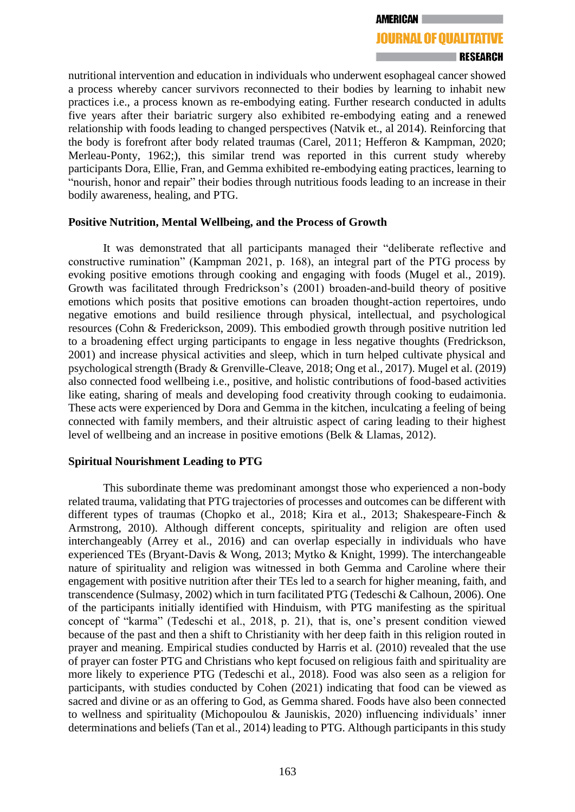# **JOURNAL OF OUALITATIVE**

nutritional intervention and education in individuals who underwent esophageal cancer showed a process whereby cancer survivors reconnected to their bodies by learning to inhabit new practices i.e., a process known as re-embodying eating. Further research conducted in adults five years after their bariatric surgery also exhibited re-embodying eating and a renewed relationship with foods leading to changed perspectives (Natvik et., al 2014). Reinforcing that the body is forefront after body related traumas (Carel, 2011; Hefferon & Kampman, 2020; Merleau-Ponty, 1962;), this similar trend was reported in this current study whereby participants Dora, Ellie, Fran, and Gemma exhibited re-embodying eating practices, learning to "nourish, honor and repair" their bodies through nutritious foods leading to an increase in their bodily awareness, healing, and PTG.

#### **Positive Nutrition, Mental Wellbeing, and the Process of Growth**

It was demonstrated that all participants managed their "deliberate reflective and constructive rumination" (Kampman 2021, p. 168), an integral part of the PTG process by evoking positive emotions through cooking and engaging with foods (Mugel et al., 2019). Growth was facilitated through Fredrickson's (2001) broaden-and-build theory of positive emotions which posits that positive emotions can broaden thought-action repertoires, undo negative emotions and build resilience through physical, intellectual, and psychological resources (Cohn & Frederickson, 2009). This embodied growth through positive nutrition led to a broadening effect urging participants to engage in less negative thoughts (Fredrickson, 2001) and increase physical activities and sleep, which in turn helped cultivate physical and psychological strength (Brady & Grenville-Cleave, 2018; Ong et al., 2017). Mugel et al. (2019) also connected food wellbeing i.e., positive, and holistic contributions of food-based activities like eating, sharing of meals and developing food creativity through cooking to eudaimonia. These acts were experienced by Dora and Gemma in the kitchen, inculcating a feeling of being connected with family members, and their altruistic aspect of caring leading to their highest level of wellbeing and an increase in positive emotions (Belk & Llamas, 2012).

#### **Spiritual Nourishment Leading to PTG**

This subordinate theme was predominant amongst those who experienced a non-body related trauma, validating that PTG trajectories of processes and outcomes can be different with different types of traumas (Chopko et al., 2018; Kira et al., 2013; Shakespeare-Finch & Armstrong, 2010). Although different concepts, spirituality and religion are often used interchangeably (Arrey et al., 2016) and can overlap especially in individuals who have experienced TEs (Bryant-Davis & Wong, 2013; Mytko & Knight, 1999). The interchangeable nature of spirituality and religion was witnessed in both Gemma and Caroline where their engagement with positive nutrition after their TEs led to a search for higher meaning, faith, and transcendence (Sulmasy, 2002) which in turn facilitated PTG (Tedeschi & Calhoun, 2006). One of the participants initially identified with Hinduism, with PTG manifesting as the spiritual concept of "karma" (Tedeschi et al., 2018, p. 21), that is, one's present condition viewed because of the past and then a shift to Christianity with her deep faith in this religion routed in prayer and meaning. Empirical studies conducted by Harris et al. (2010) revealed that the use of prayer can foster PTG and Christians who kept focused on religious faith and spirituality are more likely to experience PTG (Tedeschi et al., 2018). Food was also seen as a religion for participants, with studies conducted by Cohen (2021) indicating that food can be viewed as sacred and divine or as an offering to God, as Gemma shared. Foods have also been connected to wellness and spirituality (Michopoulou & Jauniskis, 2020) influencing individuals' inner determinations and beliefs (Tan et al., 2014) leading to PTG. Although participants in this study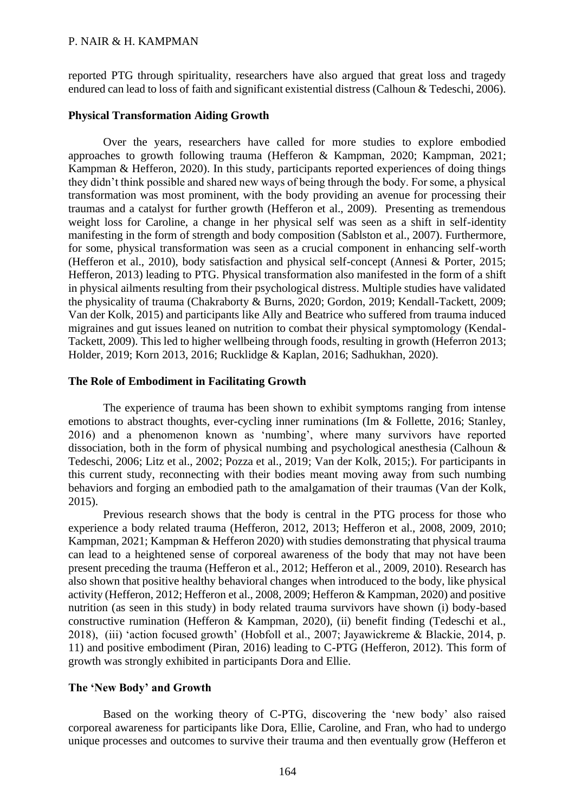reported PTG through spirituality, researchers have also argued that great loss and tragedy endured can lead to loss of faith and significant existential distress (Calhoun & Tedeschi, 2006).

#### **Physical Transformation Aiding Growth**

Over the years, researchers have called for more studies to explore embodied approaches to growth following trauma (Hefferon & Kampman, 2020; Kampman, 2021; Kampman & Hefferon, 2020). In this study, participants reported experiences of doing things they didn't think possible and shared new ways of being through the body. For some, a physical transformation was most prominent, with the body providing an avenue for processing their traumas and a catalyst for further growth (Hefferon et al., 2009). Presenting as tremendous weight loss for Caroline, a change in her physical self was seen as a shift in self-identity manifesting in the form of strength and body composition (Sablston et al., 2007). Furthermore, for some, physical transformation was seen as a crucial component in enhancing self-worth (Hefferon et al., 2010), body satisfaction and physical self-concept (Annesi & Porter, 2015; Hefferon, 2013) leading to PTG. Physical transformation also manifested in the form of a shift in physical ailments resulting from their psychological distress. Multiple studies have validated the physicality of trauma (Chakraborty & Burns, 2020; Gordon, 2019; Kendall-Tackett, 2009; Van der Kolk, 2015) and participants like Ally and Beatrice who suffered from trauma induced migraines and gut issues leaned on nutrition to combat their physical symptomology (Kendal-Tackett, 2009). This led to higher wellbeing through foods, resulting in growth (Heferron 2013; Holder, 2019; Korn 2013, 2016; Rucklidge & Kaplan, 2016; Sadhukhan, 2020).

#### **The Role of Embodiment in Facilitating Growth**

The experience of trauma has been shown to exhibit symptoms ranging from intense emotions to abstract thoughts, ever-cycling inner ruminations (Im & Follette, 2016; Stanley, 2016) and a phenomenon known as 'numbing', where many survivors have reported dissociation, both in the form of physical numbing and psychological anesthesia (Calhoun & Tedeschi, 2006; Litz et al., 2002; Pozza et al., 2019; Van der Kolk, 2015;). For participants in this current study, reconnecting with their bodies meant moving away from such numbing behaviors and forging an embodied path to the amalgamation of their traumas (Van der Kolk, 2015).

Previous research shows that the body is central in the PTG process for those who experience a body related trauma (Hefferon, 2012, 2013; Hefferon et al., 2008, 2009, 2010; Kampman, 2021; Kampman & Hefferon 2020) with studies demonstrating that physical trauma can lead to a heightened sense of corporeal awareness of the body that may not have been present preceding the trauma (Hefferon et al., 2012; Hefferon et al., 2009, 2010). Research has also shown that positive healthy behavioral changes when introduced to the body, like physical activity (Hefferon, 2012; Hefferon et al., 2008, 2009; Hefferon & Kampman, 2020) and positive nutrition (as seen in this study) in body related trauma survivors have shown (i) body-based constructive rumination (Hefferon & Kampman, 2020), (ii) benefit finding (Tedeschi et al., 2018), (iii) 'action focused growth' (Hobfoll et al., 2007; Jayawickreme & Blackie, 2014, p. 11) and positive embodiment (Piran, 2016) leading to C-PTG (Hefferon, 2012). This form of growth was strongly exhibited in participants Dora and Ellie.

#### **The 'New Body' and Growth**

Based on the working theory of C-PTG, discovering the 'new body' also raised corporeal awareness for participants like Dora, Ellie, Caroline, and Fran, who had to undergo unique processes and outcomes to survive their trauma and then eventually grow (Hefferon et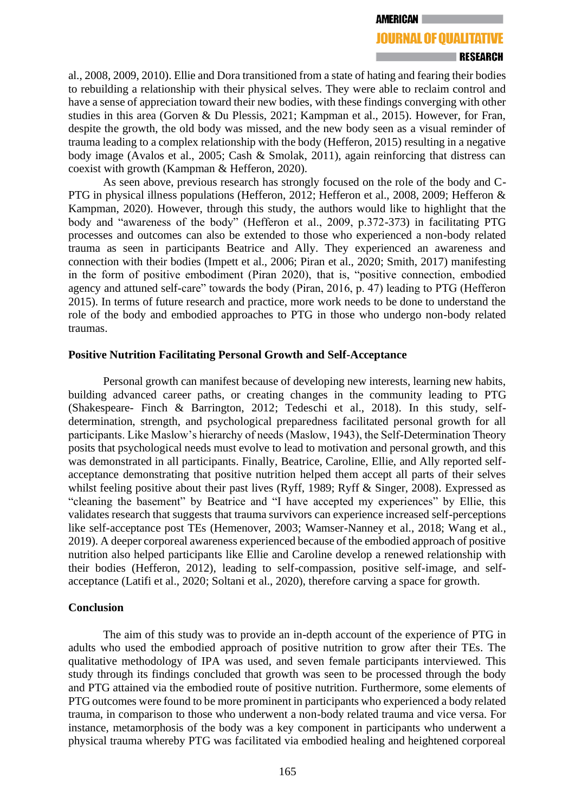# **JOURNAL OF OUALITATIVE**

al., 2008, 2009, 2010). Ellie and Dora transitioned from a state of hating and fearing their bodies to rebuilding a relationship with their physical selves. They were able to reclaim control and have a sense of appreciation toward their new bodies, with these findings converging with other studies in this area (Gorven & Du Plessis, 2021; Kampman et al., 2015). However, for Fran, despite the growth, the old body was missed, and the new body seen as a visual reminder of trauma leading to a complex relationship with the body (Hefferon, 2015) resulting in a negative body image (Avalos et al., 2005; Cash & Smolak, 2011), again reinforcing that distress can coexist with growth (Kampman & Hefferon, 2020).

As seen above, previous research has strongly focused on the role of the body and C-PTG in physical illness populations (Hefferon, 2012; Hefferon et al., 2008, 2009; Hefferon & Kampman, 2020). However, through this study, the authors would like to highlight that the body and "awareness of the body" (Hefferon et al., 2009, p.372-373) in facilitating PTG processes and outcomes can also be extended to those who experienced a non-body related trauma as seen in participants Beatrice and Ally. They experienced an awareness and connection with their bodies (Impett et al., 2006; Piran et al., 2020; Smith, 2017) manifesting in the form of positive embodiment (Piran 2020), that is, "positive connection, embodied agency and attuned self-care" towards the body (Piran, 2016, p. 47) leading to PTG (Hefferon 2015). In terms of future research and practice, more work needs to be done to understand the role of the body and embodied approaches to PTG in those who undergo non-body related traumas.

#### **Positive Nutrition Facilitating Personal Growth and Self-Acceptance**

Personal growth can manifest because of developing new interests, learning new habits, building advanced career paths, or creating changes in the community leading to PTG (Shakespeare- Finch & Barrington, 2012; Tedeschi et al., 2018). In this study, selfdetermination, strength, and psychological preparedness facilitated personal growth for all participants. Like Maslow's hierarchy of needs (Maslow, 1943), the Self-Determination Theory posits that psychological needs must evolve to lead to motivation and personal growth, and this was demonstrated in all participants. Finally, Beatrice, Caroline, Ellie, and Ally reported selfacceptance demonstrating that positive nutrition helped them accept all parts of their selves whilst feeling positive about their past lives (Ryff, 1989; Ryff & Singer, 2008). Expressed as "cleaning the basement" by Beatrice and "I have accepted my experiences" by Ellie, this validates research that suggests that trauma survivors can experience increased self-perceptions like self-acceptance post TEs (Hemenover, 2003; Wamser-Nanney et al., 2018; Wang et al., 2019). A deeper corporeal awareness experienced because of the embodied approach of positive nutrition also helped participants like Ellie and Caroline develop a renewed relationship with their bodies (Hefferon, 2012), leading to self-compassion, positive self-image, and selfacceptance (Latifi et al., 2020; Soltani et al., 2020), therefore carving a space for growth.

#### **Conclusion**

The aim of this study was to provide an in-depth account of the experience of PTG in adults who used the embodied approach of positive nutrition to grow after their TEs. The qualitative methodology of IPA was used, and seven female participants interviewed. This study through its findings concluded that growth was seen to be processed through the body and PTG attained via the embodied route of positive nutrition. Furthermore, some elements of PTG outcomes were found to be more prominent in participants who experienced a body related trauma, in comparison to those who underwent a non-body related trauma and vice versa. For instance, metamorphosis of the body was a key component in participants who underwent a physical trauma whereby PTG was facilitated via embodied healing and heightened corporeal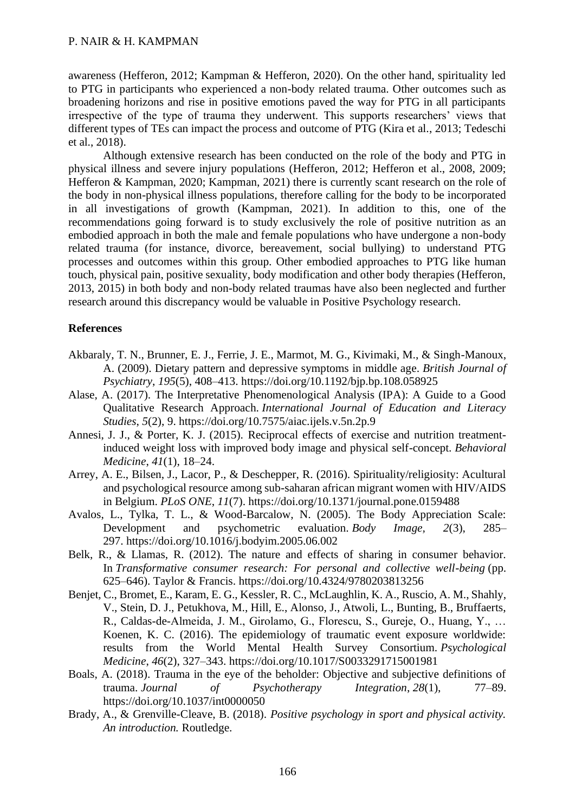awareness (Hefferon, 2012; Kampman & Hefferon, 2020). On the other hand, spirituality led to PTG in participants who experienced a non-body related trauma. Other outcomes such as broadening horizons and rise in positive emotions paved the way for PTG in all participants irrespective of the type of trauma they underwent. This supports researchers' views that different types of TEs can impact the process and outcome of PTG (Kira et al., 2013; Tedeschi et al., 2018).

Although extensive research has been conducted on the role of the body and PTG in physical illness and severe injury populations (Hefferon, 2012; Hefferon et al., 2008, 2009; Hefferon & Kampman, 2020; Kampman, 2021) there is currently scant research on the role of the body in non-physical illness populations, therefore calling for the body to be incorporated in all investigations of growth (Kampman, 2021). In addition to this, one of the recommendations going forward is to study exclusively the role of positive nutrition as an embodied approach in both the male and female populations who have undergone a non-body related trauma (for instance, divorce, bereavement, social bullying) to understand PTG processes and outcomes within this group. Other embodied approaches to PTG like human touch, physical pain, positive sexuality, body modification and other body therapies (Hefferon, 2013, 2015) in both body and non-body related traumas have also been neglected and further research around this discrepancy would be valuable in Positive Psychology research.

#### **References**

- Akbaraly, T. N., Brunner, E. J., Ferrie, J. E., Marmot, M. G., Kivimaki, M., & Singh-Manoux, A. (2009). Dietary pattern and depressive symptoms in middle age. *British Journal of Psychiatry*, *195*(5), 408–413.<https://doi.org/10.1192/bjp.bp.108.058925>
- Alase, A. (2017). The Interpretative Phenomenological Analysis (IPA): A Guide to a Good Qualitative Research Approach. *International Journal of Education and Literacy Studies*, *5*(2), 9.<https://doi.org/10.7575/aiac.ijels.v.5n.2p.9>
- Annesi, J. J., & Porter, K. J. (2015). Reciprocal effects of exercise and nutrition treatmentinduced weight loss with improved body image and physical self-concept. *Behavioral Medicine*, *41*(1), 18–24.
- Arrey, A. E., Bilsen, J., Lacor, P., & Deschepper, R. (2016). Spirituality/religiosity: Acultural and psychological resource among sub-saharan african migrant women with HIV/AIDS in Belgium. *PLoS ONE*, *11*(7). https://doi.org/10.1371/journal.pone.0159488
- Avalos, L., Tylka, T. L., & Wood-Barcalow, N. (2005). The Body Appreciation Scale: Development and psychometric evaluation. *Body Image, 2*(3), 285– 297. [https://doi.org/10.1016/j.bodyim.2005.06.002](https://psycnet.apa.org/doi/10.1016/j.bodyim.2005.06.002)
- Belk, R., & Llamas, R. (2012). The nature and effects of sharing in consumer behavior. In *Transformative consumer research: For personal and collective well-being* (pp. 625–646). Taylor & Francis.<https://doi.org/10.4324/9780203813256>
- Benjet, C., Bromet, E., Karam, E. G., Kessler, R. C., McLaughlin, K. A., Ruscio, A. M., Shahly, V., Stein, D. J., Petukhova, M., Hill, E., Alonso, J., Atwoli, L., Bunting, B., Bruffaerts, R., Caldas-de-Almeida, J. M., Girolamo, G., Florescu, S., Gureje, O., Huang, Y., … Koenen, K. C. (2016). The epidemiology of traumatic event exposure worldwide: results from the World Mental Health Survey Consortium. *Psychological Medicine*, *46*(2), 327–343.<https://doi.org/10.1017/S0033291715001981>
- Boals, A. (2018). Trauma in the eye of the beholder: Objective and subjective definitions of trauma. *Journal of Psychotherapy Integration*, *28*(1), 77–89. https://doi.org/10.1037/int0000050
- Brady, A., & Grenville-Cleave, B. (2018). *Positive psychology in sport and physical activity. An introduction.* Routledge.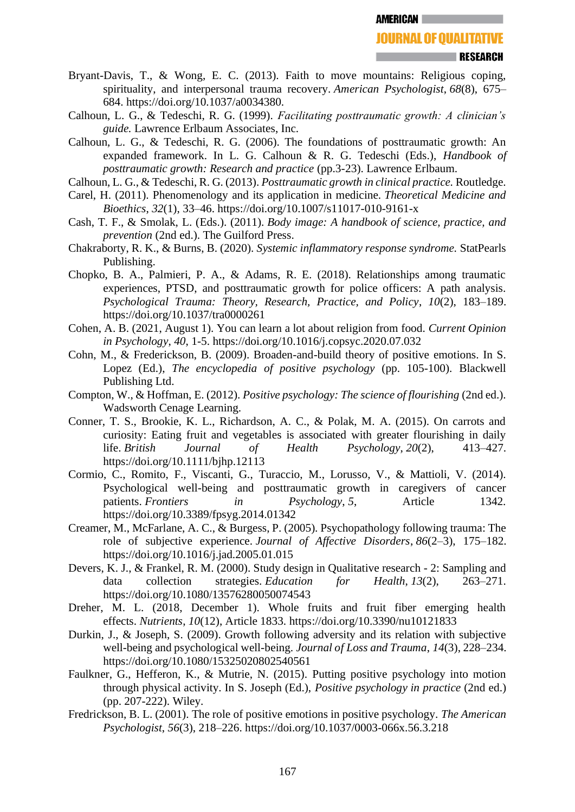- Bryant-Davis, T., & Wong, E. C. (2013). Faith to move mountains: Religious coping, spirituality, and interpersonal trauma recovery. *American Psychologist*, *68*(8), 675– 684. https://doi.org/10.1037/a0034380.
- Calhoun, L. G., & Tedeschi, R. G. (1999). *Facilitating posttraumatic growth: A clinician's guide.* Lawrence Erlbaum Associates, Inc.
- Calhoun, L. G., & Tedeschi, R. G. (2006). The foundations of posttraumatic growth: An expanded framework. In L. G. Calhoun & R. G. Tedeschi (Eds.), *Handbook of posttraumatic growth: Research and practice* (pp.3-23). Lawrence Erlbaum.
- Calhoun, L. G., & Tedeschi, R. G. (2013). *Posttraumatic growth in clinical practice.* Routledge.
- Carel, H. (2011). Phenomenology and its application in medicine. *Theoretical Medicine and Bioethics*, *32*(1), 33–46.<https://doi.org/10.1007/s11017-010-9161-x>
- Cash, T. F., & Smolak, L. (Eds.). (2011). *Body image: A handbook of science, practice, and prevention* (2nd ed.). The Guilford Press.
- Chakraborty, R. K., & Burns, B. (2020). *Systemic inflammatory response syndrome.* StatPearls Publishing.
- Chopko, B. A., Palmieri, P. A., & Adams, R. E. (2018). Relationships among traumatic experiences, PTSD, and posttraumatic growth for police officers: A path analysis. *Psychological Trauma: Theory, Research, Practice, and Policy*, *10*(2), 183–189. <https://doi.org/10.1037/tra0000261>
- Cohen, A. B. (2021, August 1). You can learn a lot about religion from food. *Current Opinion in Psychology*, *40*, 1-5.<https://doi.org/10.1016/j.copsyc.2020.07.032>
- Cohn, M., & Frederickson, B. (2009). Broaden-and-build theory of positive emotions. In S. Lopez (Ed.), *The encyclopedia of positive psychology* (pp. 105-100). Blackwell Publishing Ltd.
- Compton, W., & Hoffman, E. (2012). *Positive psychology: The science of flourishing* (2nd ed.). Wadsworth Cenage Learning.
- Conner, T. S., Brookie, K. L., Richardson, A. C., & Polak, M. A. (2015). On carrots and curiosity: Eating fruit and vegetables is associated with greater flourishing in daily life. *British Journal of Health Psychology*, *20*(2), 413–427. <https://doi.org/10.1111/bjhp.12113>
- Cormio, C., Romito, F., Viscanti, G., Turaccio, M., Lorusso, V., & Mattioli, V. (2014). Psychological well-being and posttraumatic growth in caregivers of cancer patients. *Frontiers in Psychology*, 5, Article 1342. <https://doi.org/10.3389/fpsyg.2014.01342>
- Creamer, M., McFarlane, A. C., & Burgess, P. (2005). Psychopathology following trauma: The role of subjective experience. *Journal of Affective Disorders*, *86*(2–3), 175–182. https://doi.org/10.1016/j.jad.2005.01.015
- Devers, K. J., & Frankel, R. M. (2000). Study design in Qualitative research 2: Sampling and data collection strategies. *Education for Health*, *13*(2), 263–271. <https://doi.org/10.1080/13576280050074543>
- Dreher, M. L. (2018, December 1). Whole fruits and fruit fiber emerging health effects. *Nutrients*, *10*(12), Article 1833.<https://doi.org/10.3390/nu10121833>
- Durkin, J., & Joseph, S. (2009). Growth following adversity and its relation with subjective well-being and psychological well-being. *Journal of Loss and Trauma*, *14*(3), 228–234. <https://doi.org/10.1080/15325020802540561>
- Faulkner, G., Hefferon, K., & Mutrie, N. (2015). Putting positive psychology into motion through physical activity. In S. Joseph (Ed.), *Positive psychology in practice* (2nd ed.) (pp. 207-222). Wiley.
- Fredrickson, B. L. (2001). The role of positive emotions in positive psychology. *The American Psychologist*, *56*(3), 218–226.<https://doi.org/10.1037/0003-066x.56.3.218>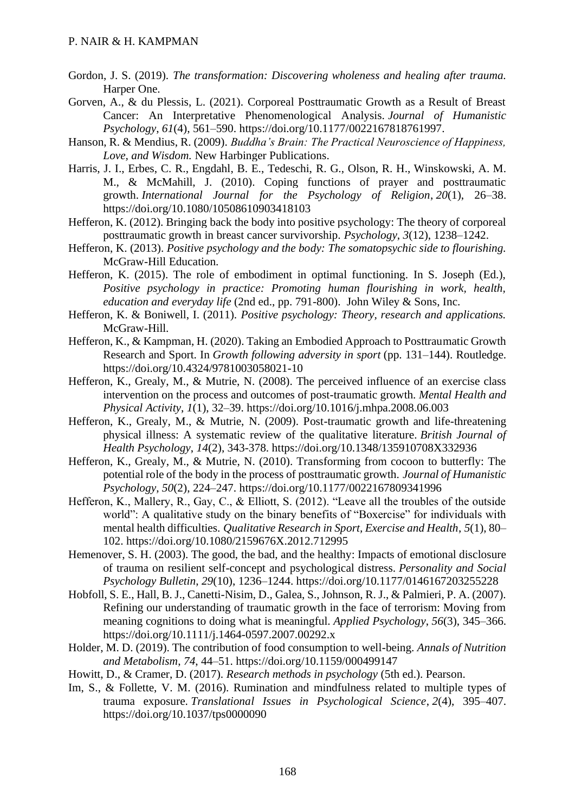- Gordon, J. S. (2019). *The transformation: Discovering wholeness and healing after trauma.*  Harper One.
- Gorven, A., & du Plessis, L. (2021). Corporeal Posttraumatic Growth as a Result of Breast Cancer: An Interpretative Phenomenological Analysis. *Journal of Humanistic Psychology*, *61*(4), 561–590. [https://doi.org/10.1177/0022167818761997.](https://doi.org/10.1177/0022167818761997)
- Hanson, R. & Mendius, R. (2009). *Buddha's Brain: The Practical Neuroscience of Happiness, Love, and Wisdom.* New Harbinger Publications.
- Harris, J. I., Erbes, C. R., Engdahl, B. E., Tedeschi, R. G., Olson, R. H., Winskowski, A. M. M., & McMahill, J. (2010). Coping functions of prayer and posttraumatic growth. *International Journal for the Psychology of Religion*, *20*(1), 26–38. <https://doi.org/10.1080/10508610903418103>
- Hefferon, K. (2012). Bringing back the body into positive psychology: The theory of corporeal posttraumatic growth in breast cancer survivorship. *Psychology*, *3*(12), 1238–1242.
- Hefferon, K. (2013). *Positive psychology and the body: The somatopsychic side to flourishing.*  McGraw-Hill Education.
- Hefferon, K. (2015). The role of embodiment in optimal functioning. In S. Joseph (Ed.), *Positive psychology in practice: Promoting human flourishing in work, health, education and everyday life* (2nd ed., pp. 791-800). John Wiley & Sons, Inc.
- Hefferon, K. & Boniwell, I. (2011). *Positive psychology: Theory, research and applications.* McGraw-Hill.
- Hefferon, K., & Kampman, H. (2020). Taking an Embodied Approach to Posttraumatic Growth Research and Sport. In *Growth following adversity in sport* (pp. 131–144). Routledge. <https://doi.org/10.4324/9781003058021-10>
- Hefferon, K., Grealy, M., & Mutrie, N. (2008). The perceived influence of an exercise class intervention on the process and outcomes of post-traumatic growth. *Mental Health and Physical Activity*, *1*(1), 32–39.<https://doi.org/10.1016/j.mhpa.2008.06.003>
- Hefferon, K., Grealy, M., & Mutrie, N. (2009). Post-traumatic growth and life-threatening physical illness: A systematic review of the qualitative literature. *British Journal of Health Psychology*, *14*(2), 343-378.<https://doi.org/10.1348/135910708X332936>
- Hefferon, K., Grealy, M., & Mutrie, N. (2010). Transforming from cocoon to butterfly: The potential role of the body in the process of posttraumatic growth. *Journal of Humanistic Psychology*, *50*(2), 224–247.<https://doi.org/10.1177/0022167809341996>
- Hefferon, K., Mallery, R., Gay, C., & Elliott, S. (2012). "Leave all the troubles of the outside world": A qualitative study on the binary benefits of "Boxercise" for individuals with mental health difficulties. *Qualitative Research in Sport, Exercise and Health*, *5*(1), 80– 102.<https://doi.org/10.1080/2159676X.2012.712995>
- Hemenover, S. H. (2003). The good, the bad, and the healthy: Impacts of emotional disclosure of trauma on resilient self-concept and psychological distress. *Personality and Social Psychology Bulletin*, *29*(10), 1236–1244.<https://doi.org/10.1177/0146167203255228>
- Hobfoll, S. E., Hall, B. J., Canetti-Nisim, D., Galea, S., Johnson, R. J., & Palmieri, P. A. (2007). Refining our understanding of traumatic growth in the face of terrorism: Moving from meaning cognitions to doing what is meaningful. *Applied Psychology*, *56*(3), 345–366. <https://doi.org/10.1111/j.1464-0597.2007.00292.x>
- Holder, M. D. (2019). The contribution of food consumption to well-being. *Annals of Nutrition and Metabolism*, *74*, 44–51.<https://doi.org/10.1159/000499147>
- Howitt, D., & Cramer, D. (2017). *Research methods in psychology* (5th ed.). Pearson.
- Im, S., & Follette, V. M. (2016). Rumination and mindfulness related to multiple types of trauma exposure. *Translational Issues in Psychological Science*, *2*(4), 395–407. <https://doi.org/10.1037/tps0000090>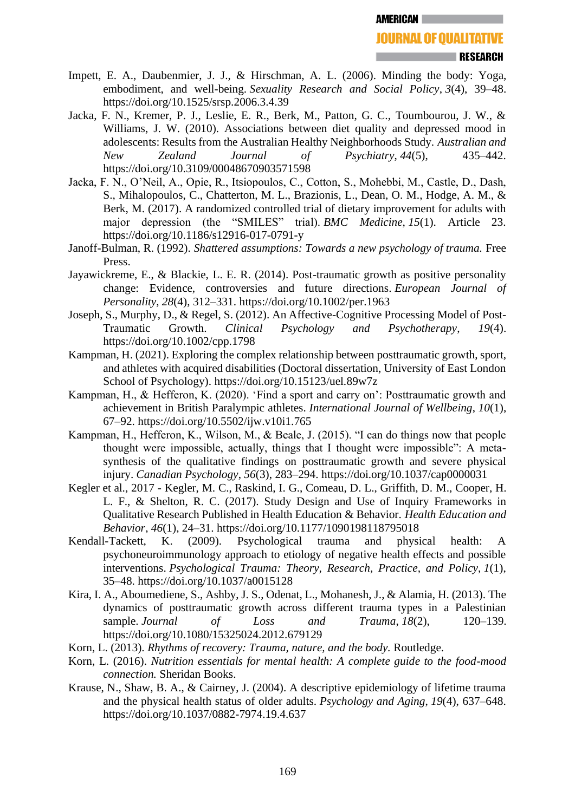- Impett, E. A., Daubenmier, J. J., & Hirschman, A. L. (2006). Minding the body: Yoga, embodiment, and well-being. *Sexuality Research and Social Policy*, *3*(4), 39–48. <https://doi.org/10.1525/srsp.2006.3.4.39>
- Jacka, F. N., Kremer, P. J., Leslie, E. R., Berk, M., Patton, G. C., Toumbourou, J. W., & Williams, J. W. (2010). Associations between diet quality and depressed mood in adolescents: Results from the Australian Healthy Neighborhoods Study. *Australian and New Zealand Journal of Psychiatry*, *44*(5), 435–442. <https://doi.org/10.3109/00048670903571598>
- Jacka, F. N., O'Neil, A., Opie, R., Itsiopoulos, C., Cotton, S., Mohebbi, M., Castle, D., Dash, S., Mihalopoulos, C., Chatterton, M. L., Brazionis, L., Dean, O. M., Hodge, A. M., & Berk, M. (2017). A randomized controlled trial of dietary improvement for adults with major depression (the "SMILES" trial). *BMC Medicine*, *15*(1). Article 23. <https://doi.org/10.1186/s12916-017-0791-y>
- Janoff-Bulman, R. (1992). *Shattered assumptions: Towards a new psychology of trauma.* Free Press.
- Jayawickreme, E., & Blackie, L. E. R. (2014). Post-traumatic growth as positive personality change: Evidence, controversies and future directions. *European Journal of Personality*, *28*(4), 312–331.<https://doi.org/10.1002/per.1963>
- Joseph, S., Murphy, D., & Regel, S. (2012). An Affective-Cognitive Processing Model of Post-Traumatic Growth. *Clinical Psychology and Psychotherapy*, *19*(4). <https://doi.org/10.1002/cpp.1798>
- Kampman, H. (2021). Exploring the complex relationship between posttraumatic growth, sport, and athletes with acquired disabilities (Doctoral dissertation, University of East London School of Psychology). <https://doi.org/10.15123/uel.89w7z>
- Kampman, H., & Hefferon, K. (2020). 'Find a sport and carry on': Posttraumatic growth and achievement in British Paralympic athletes. *International Journal of Wellbeing*, *10*(1), 67–92.<https://doi.org/10.5502/ijw.v10i1.765>
- Kampman, H., Hefferon, K., Wilson, M., & Beale, J. (2015). "I can do things now that people thought were impossible, actually, things that I thought were impossible": A metasynthesis of the qualitative findings on posttraumatic growth and severe physical injury. *Canadian Psychology*, *56*(3), 283–294.<https://doi.org/10.1037/cap0000031>
- Kegler et al., 2017 Kegler, M. C., Raskind, I. G., Comeau, D. L., Griffith, D. M., Cooper, H. L. F., & Shelton, R. C. (2017). Study Design and Use of Inquiry Frameworks in Qualitative Research Published in Health Education & Behavior. *Health Education and Behavior*, *46*(1), 24–31.<https://doi.org/10.1177/1090198118795018>
- Kendall-Tackett, K. (2009). Psychological trauma and physical health: A psychoneuroimmunology approach to etiology of negative health effects and possible interventions. *Psychological Trauma: Theory, Research, Practice, and Policy*, *1*(1), 35–48.<https://doi.org/10.1037/a0015128>
- Kira, I. A., Aboumediene, S., Ashby, J. S., Odenat, L., Mohanesh, J., & Alamia, H. (2013). The dynamics of posttraumatic growth across different trauma types in a Palestinian sample. *Journal of Loss and Trauma*, *18*(2), 120–139. <https://doi.org/10.1080/15325024.2012.679129>
- Korn, L. (2013). *Rhythms of recovery: Trauma, nature, and the body.* Routledge.
- Korn, L. (2016). *Nutrition essentials for mental health: A complete guide to the food-mood connection.* Sheridan Books.
- Krause, N., Shaw, B. A., & Cairney, J. (2004). A descriptive epidemiology of lifetime trauma and the physical health status of older adults. *Psychology and Aging*, *19*(4), 637–648. <https://doi.org/10.1037/0882-7974.19.4.637>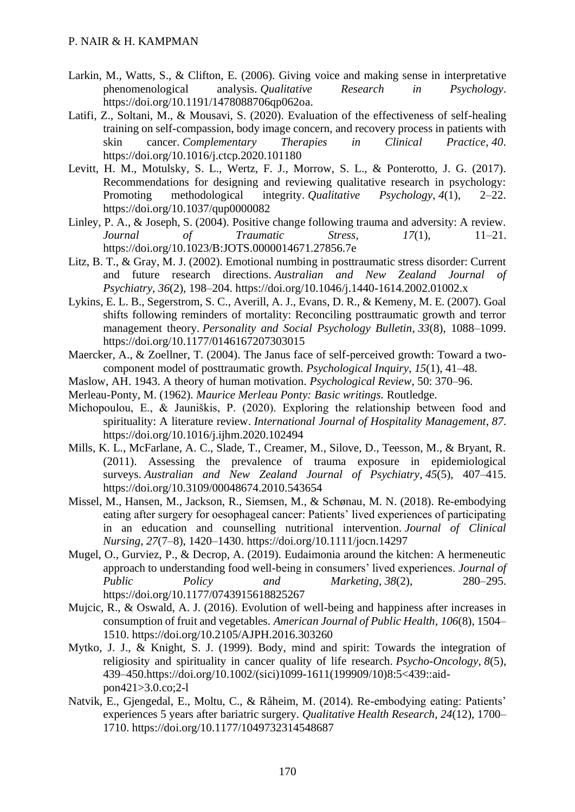- Larkin, M., Watts, S., & Clifton, E. (2006). Giving voice and making sense in interpretative phenomenological analysis. *Qualitative Research in Psychology*. [https://doi.org/10.1191/1478088706qp062oa.](https://doi.org/10.1191/1478088706qp062oa)
- Latifi, Z., Soltani, M., & Mousavi, S. (2020). Evaluation of the effectiveness of self-healing training on self-compassion, body image concern, and recovery process in patients with skin cancer. *Complementary Therapies in Clinical Practice*, *40*. <https://doi.org/10.1016/j.ctcp.2020.101180>
- Levitt, H. M., Motulsky, S. L., Wertz, F. J., Morrow, S. L., & Ponterotto, J. G. (2017). Recommendations for designing and reviewing qualitative research in psychology: Promoting methodological integrity. *Qualitative Psychology*, *4*(1), 2–22. <https://doi.org/10.1037/qup0000082>
- Linley, P. A., & Joseph, S. (2004). Positive change following trauma and adversity: A review. *Journal of Traumatic Stress*, *17*(1), 11–21. <https://doi.org/10.1023/B:JOTS.0000014671.27856.7e>
- Litz, B. T., & Gray, M. J. (2002). Emotional numbing in posttraumatic stress disorder: Current and future research directions. *Australian and New Zealand Journal of Psychiatry*, *36*(2), 198–204.<https://doi.org/10.1046/j.1440-1614.2002.01002.x>
- Lykins, E. L. B., Segerstrom, S. C., Averill, A. J., Evans, D. R., & Kemeny, M. E. (2007). Goal shifts following reminders of mortality: Reconciling posttraumatic growth and terror management theory. *Personality and Social Psychology Bulletin*, *33*(8), 1088–1099. <https://doi.org/10.1177/0146167207303015>
- Maercker, A., & Zoellner, T. (2004). The Janus face of self-perceived growth: Toward a twocomponent model of posttraumatic growth. *Psychological Inquiry*, *15*(1), 41–48.
- Maslow, AH. 1943. A theory of human motivation. *Psychological Review*, 50: 370–96.
- Merleau-Ponty, M. (1962). *Maurice Merleau Ponty: Basic writings.* Routledge.
- Michopoulou, E., & Jauniškis, P. (2020). Exploring the relationship between food and spirituality: A literature review. *International Journal of Hospitality Management*, *87*. <https://doi.org/10.1016/j.ijhm.2020.102494>
- Mills, K. L., McFarlane, A. C., Slade, T., Creamer, M., Silove, D., Teesson, M., & Bryant, R. (2011). Assessing the prevalence of trauma exposure in epidemiological surveys. *Australian and New Zealand Journal of Psychiatry*, *45*(5), 407–415. <https://doi.org/10.3109/00048674.2010.543654>
- Missel, M., Hansen, M., Jackson, R., Siemsen, M., & Schønau, M. N. (2018). Re-embodying eating after surgery for oesophageal cancer: Patients' lived experiences of participating in an education and counselling nutritional intervention. *Journal of Clinical Nursing*, *27*(7–8), 1420–1430.<https://doi.org/10.1111/jocn.14297>
- Mugel, O., Gurviez, P., & Decrop, A. (2019). Eudaimonia around the kitchen: A hermeneutic approach to understanding food well-being in consumers' lived experiences. *Journal of Public Policy and Marketing*, *38*(2), 280–295. <https://doi.org/10.1177/0743915618825267>
- Mujcic, R., & Oswald, A. J. (2016). Evolution of well-being and happiness after increases in consumption of fruit and vegetables. *American Journal of Public Health*, *106*(8), 1504– 1510.<https://doi.org/10.2105/AJPH.2016.303260>
- Mytko, J. J., & Knight, S. J. (1999). Body, mind and spirit: Towards the integration of religiosity and spirituality in cancer quality of life research. *Psycho-Oncology*, *8*(5), 439–450.https://doi.org/10.1002/(sici)1099-1611(199909/10)8:5<439::aidpon421>3.0.co;2-l
- Natvik, E., Gjengedal, E., Moltu, C., & Råheim, M. (2014). Re-embodying eating: Patients' experiences 5 years after bariatric surgery. *Qualitative Health Research*, *24*(12), 1700– 1710.<https://doi.org/10.1177/1049732314548687>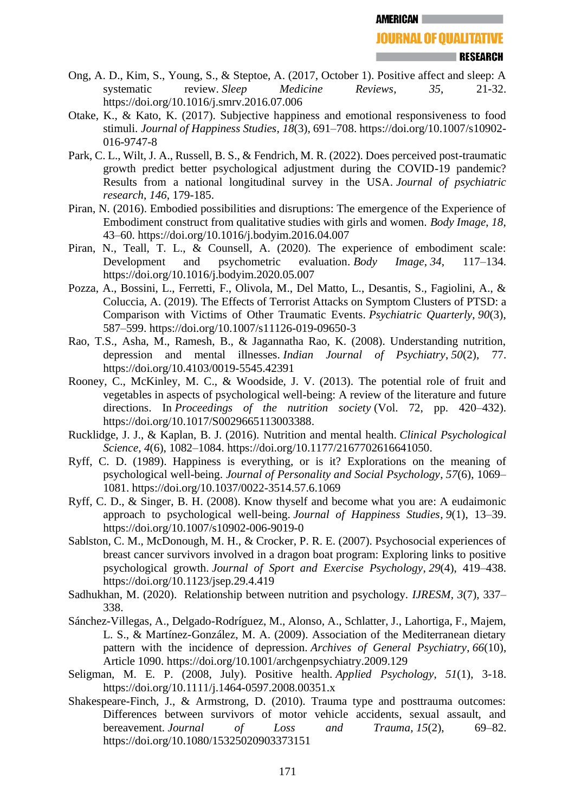- Ong, A. D., Kim, S., Young, S., & Steptoe, A. (2017, October 1). Positive affect and sleep: A systematic review. *Sleep Medicine Reviews*, *35*, 21-32. <https://doi.org/10.1016/j.smrv.2016.07.006>
- Otake, K., & Kato, K. (2017). Subjective happiness and emotional responsiveness to food stimuli. *Journal of Happiness Studies*, *18*(3), 691–708. [https://doi.org/10.1007/s10902-](https://doi.org/10.1007/s10902-016-9747-8) [016-9747-8](https://doi.org/10.1007/s10902-016-9747-8)
- Park, C. L., Wilt, J. A., Russell, B. S., & Fendrich, M. R. (2022). Does perceived post-traumatic growth predict better psychological adjustment during the COVID-19 pandemic? Results from a national longitudinal survey in the USA. *Journal of psychiatric research*, *146*, 179-185.
- Piran, N. (2016). Embodied possibilities and disruptions: The emergence of the Experience of Embodiment construct from qualitative studies with girls and women. *Body Image*, *18*, 43–60.<https://doi.org/10.1016/j.bodyim.2016.04.007>
- Piran, N., Teall, T. L., & Counsell, A. (2020). The experience of embodiment scale: Development and psychometric evaluation. *Body Image*, *34*, 117–134. <https://doi.org/10.1016/j.bodyim.2020.05.007>
- Pozza, A., Bossini, L., Ferretti, F., Olivola, M., Del Matto, L., Desantis, S., Fagiolini, A., & Coluccia, A. (2019). The Effects of Terrorist Attacks on Symptom Clusters of PTSD: a Comparison with Victims of Other Traumatic Events. *Psychiatric Quarterly*, *90*(3), 587–599.<https://doi.org/10.1007/s11126-019-09650-3>
- Rao, T.S., Asha, M., Ramesh, B., & Jagannatha Rao, K. (2008). Understanding nutrition, depression and mental illnesses. *Indian Journal of Psychiatry*, *50*(2), 77. <https://doi.org/10.4103/0019-5545.42391>
- Rooney, C., McKinley, M. C., & Woodside, J. V. (2013). The potential role of fruit and vegetables in aspects of psychological well-being: A review of the literature and future directions. In *Proceedings of the nutrition society* (Vol. 72, pp. 420–432). [https://doi.org/10.1017/S0029665113003388.](https://doi.org/10.1017/S0029665113003388)
- Rucklidge, J. J., & Kaplan, B. J. (2016). Nutrition and mental health. *Clinical Psychological Science*, *4*(6), 1082–1084. [https://doi.org/10.1177/2167702616641050.](https://doi.org/10.1177/2167702616641050)
- Ryff, C. D. (1989). Happiness is everything, or is it? Explorations on the meaning of psychological well-being. *Journal of Personality and Social Psychology*, *57*(6), 1069– 1081.<https://doi.org/10.1037/0022-3514.57.6.1069>
- Ryff, C. D., & Singer, B. H. (2008). Know thyself and become what you are: A eudaimonic approach to psychological well-being. *Journal of Happiness Studies*, *9*(1), 13–39. <https://doi.org/10.1007/s10902-006-9019-0>
- Sablston, C. M., McDonough, M. H., & Crocker, P. R. E. (2007). Psychosocial experiences of breast cancer survivors involved in a dragon boat program: Exploring links to positive psychological growth. *Journal of Sport and Exercise Psychology*, *29*(4), 419–438. <https://doi.org/10.1123/jsep.29.4.419>
- Sadhukhan, M. (2020). Relationship between nutrition and psychology. *IJRESM*, *3*(7), 337– 338.
- Sánchez-Villegas, A., Delgado-Rodríguez, M., Alonso, A., Schlatter, J., Lahortiga, F., Majem, L. S., & Martínez-González, M. A. (2009). Association of the Mediterranean dietary pattern with the incidence of depression. *Archives of General Psychiatry*, *66*(10), Article 1090.<https://doi.org/10.1001/archgenpsychiatry.2009.129>
- Seligman, M. E. P. (2008, July). Positive health. *Applied Psychology*, *51*(1), 3-18. <https://doi.org/10.1111/j.1464-0597.2008.00351.x>
- Shakespeare-Finch, J., & Armstrong, D. (2010). Trauma type and posttrauma outcomes: Differences between survivors of motor vehicle accidents, sexual assault, and bereavement. *Journal of Loss and Trauma*, *15*(2), 69–82. <https://doi.org/10.1080/15325020903373151>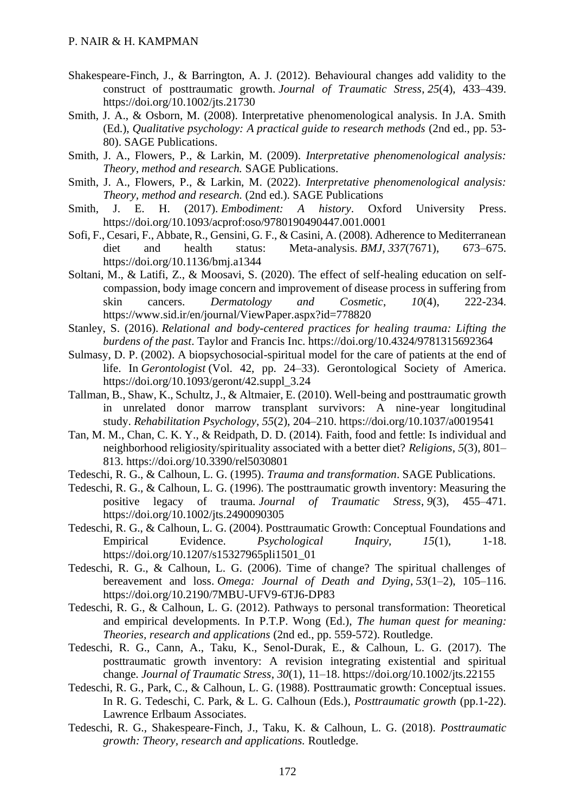- Shakespeare-Finch, J., & Barrington, A. J. (2012). Behavioural changes add validity to the construct of posttraumatic growth. *Journal of Traumatic Stress*, *25*(4), 433–439. <https://doi.org/10.1002/jts.21730>
- Smith, J. A., & Osborn, M. (2008). Interpretative phenomenological analysis. In J.A. Smith (Ed.), *Qualitative psychology: A practical guide to research methods* (2nd ed., pp. 53- 80). SAGE Publications.
- Smith, J. A., Flowers, P., & Larkin, M. (2009). *Interpretative phenomenological analysis: Theory, method and research.* SAGE Publications.
- Smith, J. A., Flowers, P., & Larkin, M. (2022). *Interpretative phenomenological analysis: Theory, method and research.* (2nd ed.). SAGE Publications
- Smith, J. E. H. (2017). *Embodiment: A history*. Oxford University Press. <https://doi.org/10.1093/acprof:oso/9780190490447.001.0001>
- Sofi, F., Cesari, F., Abbate, R., Gensini, G. F., & Casini, A. (2008). Adherence to Mediterranean diet and health status: Meta-analysis. *BMJ*, 337(7671), 673–675. <https://doi.org/10.1136/bmj.a1344>
- Soltani, M., & Latifi, Z., & Moosavi, S. (2020). The effect of self-healing education on selfcompassion, body image concern and improvement of disease process in suffering from skin cancers. *Dermatology and Cosmetic*, *10*(4), 222-234. <https://www.sid.ir/en/journal/ViewPaper.aspx?id=778820>
- Stanley, S. (2016). *Relational and body-centered practices for healing trauma: Lifting the burdens of the past*. Taylor and Francis Inc.<https://doi.org/10.4324/9781315692364>
- Sulmasy, D. P. (2002). A biopsychosocial-spiritual model for the care of patients at the end of life. In *Gerontologist* (Vol. 42, pp. 24–33). Gerontological Society of America. https://doi.org/10.1093/geront/42.suppl\_3.24
- Tallman, B., Shaw, K., Schultz, J., & Altmaier, E. (2010). Well-being and posttraumatic growth in unrelated donor marrow transplant survivors: A nine-year longitudinal study. *Rehabilitation Psychology*, *55*(2), 204–210.<https://doi.org/10.1037/a0019541>
- Tan, M. M., Chan, C. K. Y., & Reidpath, D. D. (2014). Faith, food and fettle: Is individual and neighborhood religiosity/spirituality associated with a better diet? *Religions*, *5*(3), 801– 813.<https://doi.org/10.3390/rel5030801>
- Tedeschi, R. G., & Calhoun, L. G. (1995). *Trauma and transformation*. SAGE Publications.
- Tedeschi, R. G., & Calhoun, L. G. (1996). The posttraumatic growth inventory: Measuring the positive legacy of trauma. *Journal of Traumatic Stress*, *9*(3), 455–471. <https://doi.org/10.1002/jts.2490090305>
- Tedeschi, R. G., & Calhoun, L. G. (2004). Posttraumatic Growth: Conceptual Foundations and Empirical Evidence. *Psychological Inquiry, 15*(1), 1-18. [https://doi.org/10.1207/s15327965pli1501\\_01](https://doi.org/10.1207/s15327965pli1501_01)
- Tedeschi, R. G., & Calhoun, L. G. (2006). Time of change? The spiritual challenges of bereavement and loss. *Omega: Journal of Death and Dying*, *53*(1–2), 105–116. <https://doi.org/10.2190/7MBU-UFV9-6TJ6-DP83>
- Tedeschi, R. G., & Calhoun, L. G. (2012). Pathways to personal transformation: Theoretical and empirical developments. In P.T.P. Wong (Ed.), *The human quest for meaning: Theories, research and applications* (2nd ed., pp. 559-572). Routledge.
- Tedeschi, R. G., Cann, A., Taku, K., Senol-Durak, E., & Calhoun, L. G. (2017). The posttraumatic growth inventory: A revision integrating existential and spiritual change. *Journal of Traumatic Stress*, *30*(1), 11–18.<https://doi.org/10.1002/jts.22155>
- Tedeschi, R. G., Park, C., & Calhoun, L. G. (1988). Posttraumatic growth: Conceptual issues. In R. G. Tedeschi, C. Park, & L. G. Calhoun (Eds.), *Posttraumatic growth* (pp.1-22). Lawrence Erlbaum Associates.
- Tedeschi, R. G., Shakespeare-Finch, J., Taku, K. & Calhoun, L. G. (2018). *Posttraumatic growth: Theory, research and applications.* Routledge.